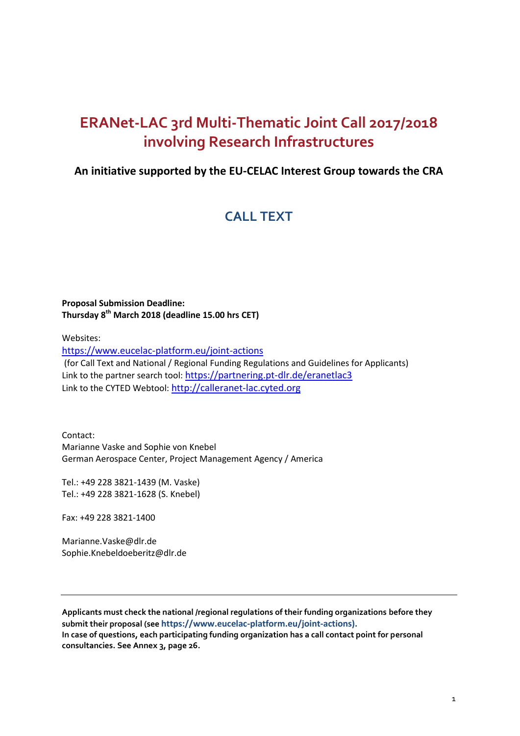# **ERANet-LAC 3rd Multi-Thematic Joint Call 2017/2018 involving Research Infrastructures**

## **An initiative supported by the EU-CELAC Interest Group towards the CRA**

# **CALL TEXT**

### **Proposal Submission Deadline: Thursday 8 th March 2018 (deadline 15.00 hrs CET)**

Websites:

<https://www.eucelac-platform.eu/joint-actions> (for Call Text and National / Regional Funding Regulations and Guidelines for Applicants) Link to the partner search tool: <https://partnering.pt-dlr.de/eranetlac3> Link to the CYTED Webtool: [http://calleranet-lac.cyted.org](http://calleranet-lac.cyted.org/)

Contact: Marianne Vaske and Sophie von Knebel German Aerospace Center, Project Management Agency / America

Tel.: +49 228 3821-1439 (M. Vaske) Tel.: +49 228 3821-1628 (S. Knebel)

Fax: +49 228 3821-1400

[Marianne.Vaske@dlr.de](mailto:Marianne.Vaske@dlr.de) Sophie.Knebeldoeberitz@dlr.de

**Applicants must check the national /regional regulations of their funding organizations before they submit their proposal (see [https://www.eucelac-platform.eu/joint-actions\)](https://www.eucelac-platform.eu/joint-actions). In case of questions, each participating funding organization has a call contact point for personal consultancies. See Annex 3, page 26.**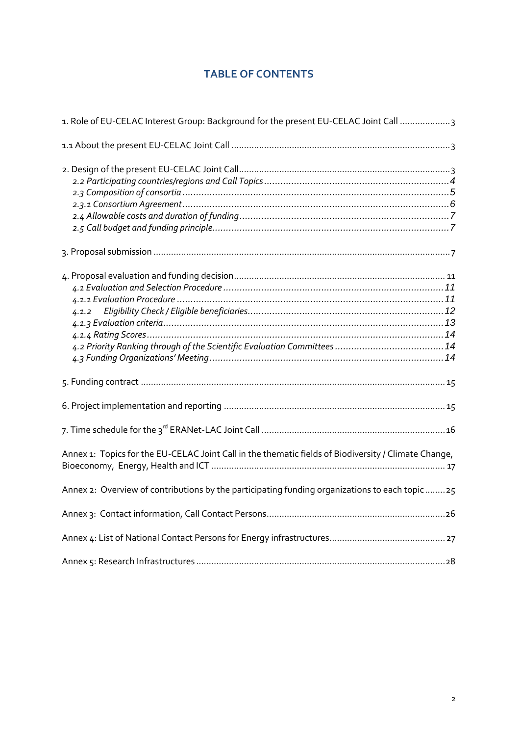## **TABLE OF CONTENTS**

| 1. Role of EU-CELAC Interest Group: Background for the present EU-CELAC Joint Call 3                 |
|------------------------------------------------------------------------------------------------------|
|                                                                                                      |
|                                                                                                      |
|                                                                                                      |
| 4.1.2                                                                                                |
|                                                                                                      |
|                                                                                                      |
|                                                                                                      |
| Annex 1: Topics for the EU-CELAC Joint Call in the thematic fields of Biodiversity / Climate Change, |
| Annex 2: Overview of contributions by the participating funding organizations to each topic25        |
|                                                                                                      |
|                                                                                                      |
|                                                                                                      |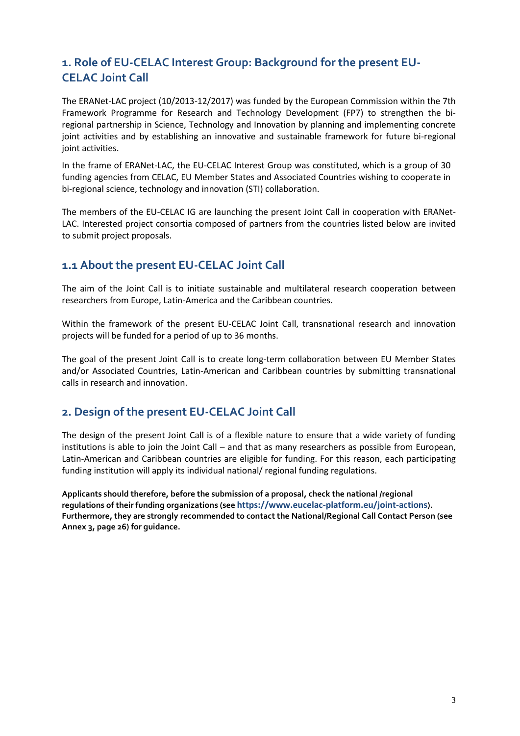## <span id="page-2-0"></span>**1. Role of EU-CELAC Interest Group: Background for the present EU-CELAC Joint Call**

The ERANet-LAC project (10/2013-12/2017) was funded by the European Commission within the 7th Framework Programme for Research and Technology Development (FP7) to strengthen the biregional partnership in Science, Technology and Innovation by planning and implementing concrete joint activities and by establishing an innovative and sustainable framework for future bi-regional joint activities.

In the frame of ERANet-LAC, the EU-CELAC Interest Group was constituted, which is a group of 30 funding agencies from CELAC, EU Member States and Associated Countries wishing to cooperate in bi-regional science, technology and innovation (STI) collaboration.

The members of the EU-CELAC IG are launching the present Joint Call in cooperation with ERANet-LAC. Interested project consortia composed of partners from the countries listed below are invited to submit project proposals.

## <span id="page-2-1"></span>**1.1 About the present EU-CELAC Joint Call**

The aim of the Joint Call is to initiate sustainable and multilateral research cooperation between researchers from Europe, Latin-America and the Caribbean countries.

Within the framework of the present EU-CELAC Joint Call, transnational research and innovation projects will be funded for a period of up to 36 months.

The goal of the present Joint Call is to create long-term collaboration between EU Member States and/or Associated Countries, Latin-American and Caribbean countries by submitting transnational calls in research and innovation.

## <span id="page-2-2"></span>**2. Design of the present EU-CELAC Joint Call**

The design of the present Joint Call is of a flexible nature to ensure that a wide variety of funding institutions is able to join the Joint Call – and that as many researchers as possible from European, Latin-American and Caribbean countries are eligible for funding. For this reason, each participating funding institution will apply its individual national/ regional funding regulations.

**Applicants should therefore, before the submission of a proposal, check the national /regional regulations of their funding organizations (see <https://www.eucelac-platform.eu/joint-actions>). Furthermore, they are strongly recommended to contact the National/Regional Call Contact Person (see Annex 3, page 26) for guidance.**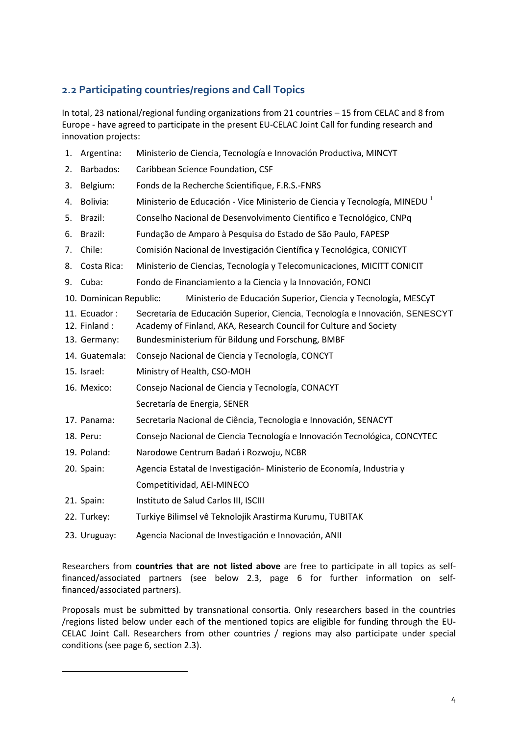## <span id="page-3-0"></span>**2.2 Participating countries/regions and Call Topics**

In total, 23 national/regional funding organizations from 21 countries – 15 from CELAC and 8 from Europe - have agreed to participate in the present EU-CELAC Joint Call for funding research and innovation projects:

| 1. | Argentina:                   | Ministerio de Ciencia, Tecnología e Innovación Productiva, MINCYT                                                                                 |
|----|------------------------------|---------------------------------------------------------------------------------------------------------------------------------------------------|
| 2. | Barbados:                    | Caribbean Science Foundation, CSF                                                                                                                 |
| 3. | Belgium:                     | Fonds de la Recherche Scientifique, F.R.S.-FNRS                                                                                                   |
| 4. | Bolivia:                     | Ministerio de Educación - Vice Ministerio de Ciencia y Tecnología, MINEDU <sup>1</sup>                                                            |
| 5. | Brazil:                      | Conselho Nacional de Desenvolvimento Cientifico e Tecnológico, CNPq                                                                               |
| 6. | Brazil:                      | Fundação de Amparo à Pesquisa do Estado de São Paulo, FAPESP                                                                                      |
| 7. | Chile:                       | Comisión Nacional de Investigación Científica y Tecnológica, CONICYT                                                                              |
| 8. | Costa Rica:                  | Ministerio de Ciencias, Tecnología y Telecomunicaciones, MICITT CONICIT                                                                           |
|    | 9. Cuba:                     | Fondo de Financiamiento a la Ciencia y la Innovación, FONCI                                                                                       |
|    | 10. Dominican Republic:      | Ministerio de Educación Superior, Ciencia y Tecnología, MESCyT                                                                                    |
|    | 11. Ecuador:<br>12. Finland: | Secretaría de Educación Superior, Ciencia, Tecnología e Innovación, SENESCYT<br>Academy of Finland, AKA, Research Council for Culture and Society |
|    | 13. Germany:                 | Bundesministerium für Bildung und Forschung, BMBF                                                                                                 |
|    | 14. Guatemala:               | Consejo Nacional de Ciencia y Tecnología, CONCYT                                                                                                  |
|    | 15. Israel:                  | Ministry of Health, CSO-MOH                                                                                                                       |
|    | 16. Mexico:                  | Consejo Nacional de Ciencia y Tecnología, CONACYT                                                                                                 |
|    |                              | Secretaría de Energia, SENER                                                                                                                      |
|    | 17. Panama:                  | Secretaria Nacional de Ciência, Tecnologia e Innovación, SENACYT                                                                                  |
|    | 18. Peru:                    | Consejo Nacional de Ciencia Tecnología e Innovación Tecnológica, CONCYTEC                                                                         |
|    | 19. Poland:                  | Narodowe Centrum Badań i Rozwoju, NCBR                                                                                                            |
|    | 20. Spain:                   | Agencia Estatal de Investigación-Ministerio de Economía, Industria y                                                                              |
|    |                              | Competitividad, AEI-MINECO                                                                                                                        |
|    | 21. Spain:                   | Instituto de Salud Carlos III, ISCIII                                                                                                             |
|    | 22. Turkey:                  | Turkiye Bilimsel vê Teknolojik Arastirma Kurumu, TUBITAK                                                                                          |
|    | 23. Uruguay:                 | Agencia Nacional de Investigación e Innovación, ANII                                                                                              |
|    |                              |                                                                                                                                                   |

Researchers from **countries that are not listed above** are free to participate in all topics as selffinanced/associated partners (see below 2.3, page 6 for further information on selffinanced/associated partners).

Proposals must be submitted by transnational consortia. Only researchers based in the countries /regions listed below under each of the mentioned topics are eligible for funding through the EU-CELAC Joint Call. Researchers from other countries / regions may also participate under special conditions (see page 6, section 2.3).

 $\overline{a}$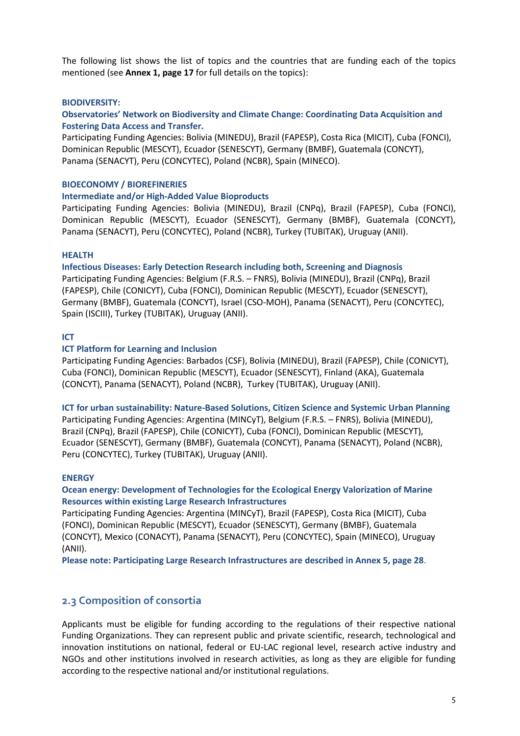The following list shows the list of topics and the countries that are funding each of the topics mentioned (see **Annex 1, page 17** for full details on the topics):

#### **BIODIVERSITY:**

#### **Observatories' Network on Biodiversity and Climate Change: Coordinating Data Acquisition and Fostering Data Access and Transfer.**

Participating Funding Agencies: Bolivia (MINEDU), Brazil (FAPESP), Costa Rica (MICIT), Cuba (FONCI), Dominican Republic (MESCYT), Ecuador (SENESCYT), Germany (BMBF), Guatemala (CONCYT), Panama (SENACYT), Peru (CONCYTEC), Poland (NCBR), Spain (MINECO).

#### **BIOECONOMY / BIOREFINERIES**

#### **Intermediate and/or High-Added Value Bioproducts**

Participating Funding Agencies: Bolivia (MINEDU), Brazil (CNPq), Brazil (FAPESP), Cuba (FONCI), Dominican Republic (MESCYT), Ecuador (SENESCYT), Germany (BMBF), Guatemala (CONCYT), Panama (SENACYT), Peru (CONCYTEC), Poland (NCBR), Turkey (TUBITAK), Uruguay (ANII).

#### **HEALTH**

**Infectious Diseases: Early Detection Research including both, Screening and Diagnosis**

Participating Funding Agencies: Belgium (F.R.S. – FNRS), Bolivia (MINEDU), Brazil (CNPq), Brazil (FAPESP), Chile (CONICYT), Cuba (FONCI), Dominican Republic (MESCYT), Ecuador (SENESCYT), Germany (BMBF), Guatemala (CONCYT), Israel (CSO-MOH), Panama (SENACYT), Peru (CONCYTEC), Spain (ISCIII), Turkey (TUBITAK), Uruguay (ANII).

#### **ICT**

#### **ICT Platform for Learning and Inclusion**

Participating Funding Agencies: Barbados (CSF), Bolivia (MINEDU), Brazil (FAPESP), Chile (CONICYT), Cuba (FONCI), Dominican Republic (MESCYT), Ecuador (SENESCYT), Finland (AKA), Guatemala (CONCYT), Panama (SENACYT), Poland (NCBR), Turkey (TUBITAK), Uruguay (ANII).

**ICT for urban sustainability: Nature-Based Solutions, Citizen Science and Systemic Urban Planning**

Participating Funding Agencies: Argentina (MINCyT), Belgium (F.R.S. – FNRS), Bolivia (MINEDU), Brazil (CNPq), Brazil (FAPESP), Chile (CONICYT), Cuba (FONCI), Dominican Republic (MESCYT), Ecuador (SENESCYT), Germany (BMBF), Guatemala (CONCYT), Panama (SENACYT), Poland (NCBR), Peru (CONCYTEC), Turkey (TUBITAK), Uruguay (ANII).

#### **ENERGY**

#### **Ocean energy: Development of Technologies for the Ecological Energy Valorization of Marine Resources within existing Large Research Infrastructures**

Participating Funding Agencies: Argentina (MINCyT), Brazil (FAPESP), Costa Rica (MICIT), Cuba (FONCI), Dominican Republic (MESCYT), Ecuador (SENESCYT), Germany (BMBF), Guatemala (CONCYT), Mexico (CONACYT), Panama (SENACYT), Peru (CONCYTEC), Spain (MINECO), Uruguay (ANII).

**Please note: Participating Large Research Infrastructures are described in Annex 5, page 28**.

### <span id="page-4-0"></span>**2.3 Composition of consortia**

Applicants must be eligible for funding according to the regulations of their respective national Funding Organizations. They can represent public and private scientific, research, technological and innovation institutions on national, federal or EU-LAC regional level, research active industry and NGOs and other institutions involved in research activities, as long as they are eligible for funding according to the respective national and/or institutional regulations.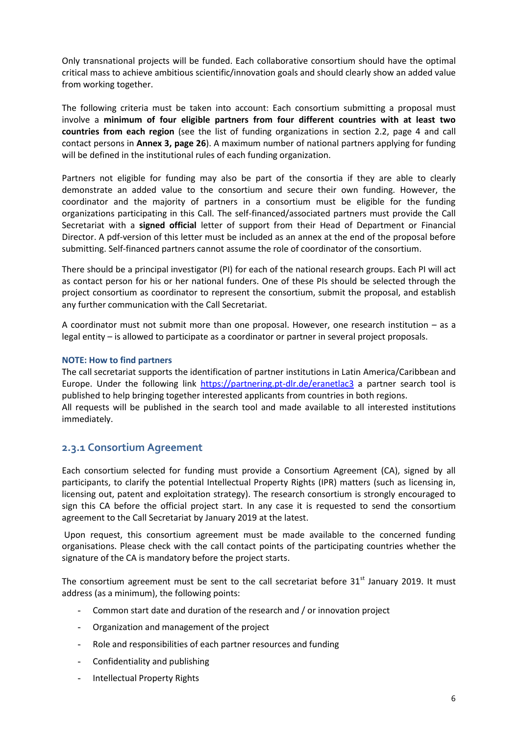Only transnational projects will be funded. Each collaborative consortium should have the optimal critical mass to achieve ambitious scientific/innovation goals and should clearly show an added value from working together.

The following criteria must be taken into account: Each consortium submitting a proposal must involve a **minimum of four eligible partners from four different countries with at least two countries from each region** (see the list of funding organizations in section 2.2, page 4 and call contact persons in **Annex 3, page 26**). A maximum number of national partners applying for funding will be defined in the institutional rules of each funding organization.

Partners not eligible for funding may also be part of the consortia if they are able to clearly demonstrate an added value to the consortium and secure their own funding. However, the coordinator and the majority of partners in a consortium must be eligible for the funding organizations participating in this Call. The self-financed/associated partners must provide the Call Secretariat with a **signed official** letter of support from their Head of Department or Financial Director. A pdf-version of this letter must be included as an annex at the end of the proposal before submitting. Self-financed partners cannot assume the role of coordinator of the consortium.

There should be a principal investigator (PI) for each of the national research groups. Each PI will act as contact person for his or her national funders. One of these PIs should be selected through the project consortium as coordinator to represent the consortium, submit the proposal, and establish any further communication with the Call Secretariat.

A coordinator must not submit more than one proposal. However, one research institution – as a legal entity – is allowed to participate as a coordinator or partner in several project proposals.

#### **NOTE: How to find partners**

The call secretariat supports the identification of partner institutions in Latin America/Caribbean and Europe. Under the following link <https://partnering.pt-dlr.de/eranetlac3> a partner search tool is published to help bringing together interested applicants from countries in both regions. All requests will be published in the search tool and made available to all interested institutions immediately.

#### <span id="page-5-0"></span>**2.3.1 Consortium Agreement**

Each consortium selected for funding must provide a Consortium Agreement (CA), signed by all participants, to clarify the potential Intellectual Property Rights (IPR) matters (such as licensing in, licensing out, patent and exploitation strategy). The research consortium is strongly encouraged to sign this CA before the official project start. In any case it is requested to send the consortium agreement to the Call Secretariat by January 2019 at the latest.

Upon request, this consortium agreement must be made available to the concerned funding organisations. Please check with the call contact points of the participating countries whether the signature of the CA is mandatory before the project starts.

The consortium agreement must be sent to the call secretariat before  $31<sup>st</sup>$  January 2019. It must address (as a minimum), the following points:

- Common start date and duration of the research and / or innovation project
- Organization and management of the project
- Role and responsibilities of each partner resources and funding
- Confidentiality and publishing
- Intellectual Property Rights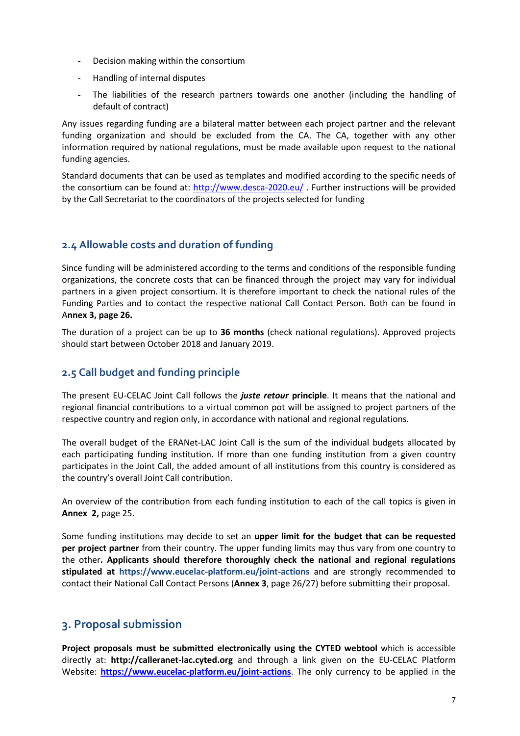- Decision making within the consortium
- Handling of internal disputes
- The liabilities of the research partners towards one another (including the handling of default of contract)

Any issues regarding funding are a bilateral matter between each project partner and the relevant funding organization and should be excluded from the CA. The CA, together with any other information required by national regulations, must be made available upon request to the national funding agencies.

Standard documents that can be used as templates and modified according to the specific needs of the consortium can be found at:<http://www.desca-2020.eu/> . Further instructions will be provided by the Call Secretariat to the coordinators of the projects selected for funding

## <span id="page-6-0"></span>**2.4 Allowable costs and duration of funding**

Since funding will be administered according to the terms and conditions of the responsible funding organizations, the concrete costs that can be financed through the project may vary for individual partners in a given project consortium. It is therefore important to check the national rules of the Funding Parties and to contact the respective national Call Contact Person. Both can be found in A**nnex 3, page 26.**

The duration of a project can be up to **36 months** (check national regulations). Approved projects should start between October 2018 and January 2019.

## <span id="page-6-1"></span>**2.5 Call budget and funding principle**

The present EU-CELAC Joint Call follows the *juste retour* **principle**. It means that the national and regional financial contributions to a virtual common pot will be assigned to project partners of the respective country and region only, in accordance with national and regional regulations.

The overall budget of the ERANet-LAC Joint Call is the sum of the individual budgets allocated by each participating funding institution. If more than one funding institution from a given country participates in the Joint Call, the added amount of all institutions from this country is considered as the country's overall Joint Call contribution.

An overview of the contribution from each funding institution to each of the call topics is given in **Annex 2,** page 25.

Some funding institutions may decide to set an **upper limit for the budget that can be requested per project partner** from their country. The upper funding limits may thus vary from one country to the other**. Applicants should therefore thoroughly check the national and regional regulations stipulated at <https://www.eucelac-platform.eu/joint-actions>** and are strongly recommended to contact their National Call Contact Persons (**Annex 3**, page 26/27) before submitting their proposal.

## <span id="page-6-2"></span>**3. Proposal submission**

**Project proposals must be submitted electronically using the CYTED webtool** which is accessible directly at: **[http://calleranet-lac.cyted.org](http://calleranet-lac.cyted.org/)** and through a link given on the EU-CELAC Platform Website: **<https://www.eucelac-platform.eu/joint-actions>**. The only currency to be applied in the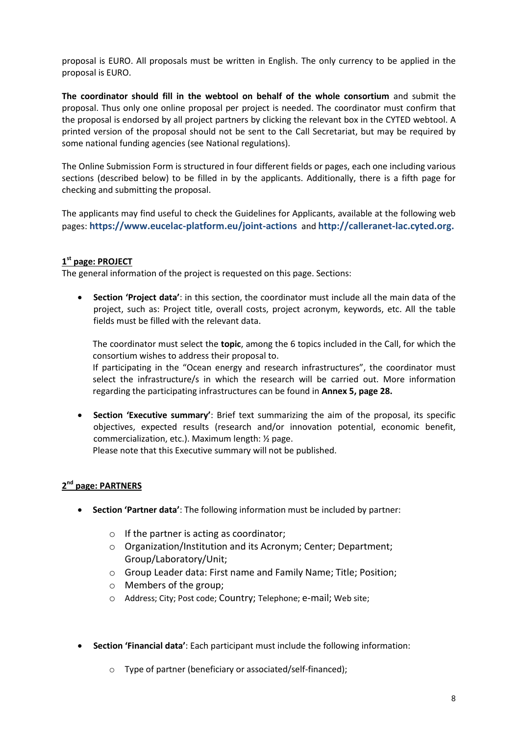proposal is EURO. All proposals must be written in English. The only currency to be applied in the proposal is EURO.

**The coordinator should fill in the webtool on behalf of the whole consortium** and submit the proposal. Thus only one online proposal per project is needed. The coordinator must confirm that the proposal is endorsed by all project partners by clicking the relevant box in the CYTED webtool. A printed version of the proposal should not be sent to the Call Secretariat, but may be required by some national funding agencies (see National regulations).

The Online Submission Form is structured in four different fields or pages, each one including various sections (described below) to be filled in by the applicants. Additionally, there is a fifth page for checking and submitting the proposal.

The applicants may find useful to check the Guidelines for Applicants, available at the following web pages: **<https://www.eucelac-platform.eu/joint-actions>** and **[http://calleranet-lac.cyted.org.](http://calleranet-lac.cyted.org/)**

### **1 st page: PROJECT**

The general information of the project is requested on this page. Sections:

 **Section 'Project data'**: in this section, the coordinator must include all the main data of the project, such as: Project title, overall costs, project acronym, keywords, etc. All the table fields must be filled with the relevant data.

The coordinator must select the **topic**, among the 6 topics included in the Call, for which the consortium wishes to address their proposal to.

If participating in the "Ocean energy and research infrastructures", the coordinator must select the infrastructure/s in which the research will be carried out. More information regarding the participating infrastructures can be found in **Annex 5, page 28.**

 **Section 'Executive summary'**: Brief text summarizing the aim of the proposal, its specific objectives, expected results (research and/or innovation potential, economic benefit, commercialization, etc.). Maximum length: ½ page. Please note that this Executive summary will not be published.

### **2 nd page: PARTNERS**

- **Section 'Partner data'**: The following information must be included by partner:
	- o If the partner is acting as coordinator;
	- o Organization/Institution and its Acronym; Center; Department; Group/Laboratory/Unit;
	- o Group Leader data: First name and Family Name; Title; Position;
	- o Members of the group;
	- o Address; City; Post code; Country; Telephone; e-mail; Web site;
- **Section 'Financial data'**: Each participant must include the following information:
	- o Type of partner (beneficiary or associated/self-financed);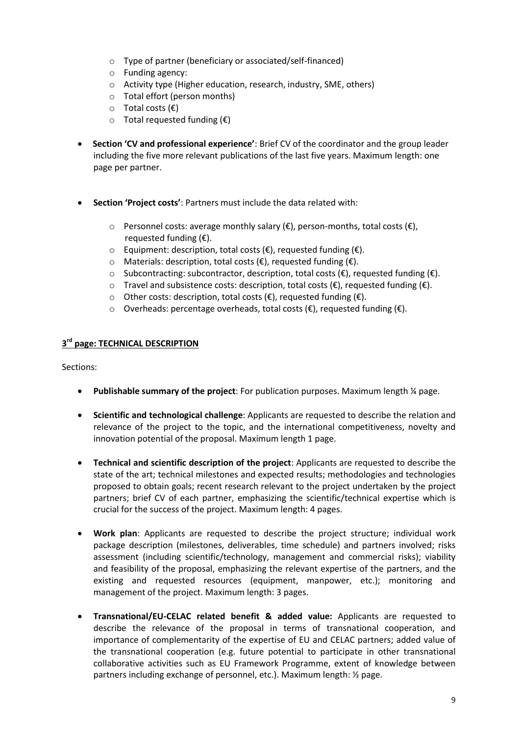- o Type of partner (beneficiary or associated/self-financed)
- o Funding agency:
- o Activity type (Higher education, research, industry, SME, others)
- o Total effort (person months)
- o Total costs (€)
- $\circ$  Total requested funding ( $\epsilon$ )
- **Section 'CV and professional experience'**: Brief CV of the coordinator and the group leader including the five more relevant publications of the last five years. Maximum length: one page per partner.
- **Section 'Project costs'**: Partners must include the data related with:
	- o Personnel costs: average monthly salary (€), person-months, total costs (€), requested funding  $(\epsilon)$ .
	- o Equipment: description, total costs (€), requested funding (€).
	- o Materials: description, total costs (€), requested funding (€).
	- $\circ$  Subcontracting: subcontractor, description, total costs (€), requested funding (€).
	- o Travel and subsistence costs: description, total costs ( $\epsilon$ ), requested funding ( $\epsilon$ ).
	- o Other costs: description, total costs (€), requested funding (€).
	- o Overheads: percentage overheads, total costs (€), requested funding (€).

#### **3 rd page: TECHNICAL DESCRIPTION**

Sections:

- **•** Publishable summary of the project: For publication purposes. Maximum length ¼ page.
- **Scientific and technological challenge**: Applicants are requested to describe the relation and relevance of the project to the topic, and the international competitiveness, novelty and innovation potential of the proposal. Maximum length 1 page.
- **Technical and scientific description of the project**: Applicants are requested to describe the state of the art; technical milestones and expected results; methodologies and technologies proposed to obtain goals; recent research relevant to the project undertaken by the project partners; brief CV of each partner, emphasizing the scientific/technical expertise which is crucial for the success of the project. Maximum length: 4 pages.
- **Work plan**: Applicants are requested to describe the project structure; individual work package description (milestones, deliverables, time schedule) and partners involved; risks assessment (including scientific/technology, management and commercial risks); viability and feasibility of the proposal, emphasizing the relevant expertise of the partners, and the existing and requested resources (equipment, manpower, etc.); monitoring and management of the project. Maximum length: 3 pages.
- **Transnational/EU-CELAC related benefit & added value:** Applicants are requested to describe the relevance of the proposal in terms of transnational cooperation, and importance of complementarity of the expertise of EU and CELAC partners; added value of the transnational cooperation (e.g. future potential to participate in other transnational collaborative activities such as EU Framework Programme, extent of knowledge between partners including exchange of personnel, etc.). Maximum length: ½ page.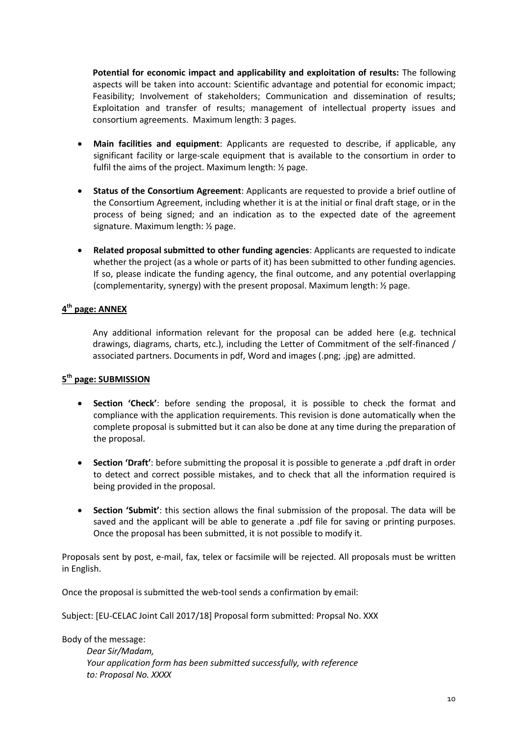**Potential for economic impact and applicability and exploitation of results:** The following aspects will be taken into account: Scientific advantage and potential for economic impact; Feasibility; Involvement of stakeholders; Communication and dissemination of results; Exploitation and transfer of results; management of intellectual property issues and consortium agreements. Maximum length: 3 pages.

- **Main facilities and equipment**: Applicants are requested to describe, if applicable, any significant facility or large-scale equipment that is available to the consortium in order to fulfil the aims of the project. Maximum length: ½ page.
- **Status of the Consortium Agreement**: Applicants are requested to provide a brief outline of the Consortium Agreement, including whether it is at the initial or final draft stage, or in the process of being signed; and an indication as to the expected date of the agreement signature. Maximum length: ½ page.
- **Related proposal submitted to other funding agencies**: Applicants are requested to indicate whether the project (as a whole or parts of it) has been submitted to other funding agencies. If so, please indicate the funding agency, the final outcome, and any potential overlapping (complementarity, synergy) with the present proposal. Maximum length: ½ page.

### **4 th page: ANNEX**

Any additional information relevant for the proposal can be added here (e.g. technical drawings, diagrams, charts, etc.), including the Letter of Commitment of the self-financed / associated partners. Documents in pdf, Word and images (.png; .jpg) are admitted.

### **5 th page: SUBMISSION**

- **Section 'Check'**: before sending the proposal, it is possible to check the format and compliance with the application requirements. This revision is done automatically when the complete proposal is submitted but it can also be done at any time during the preparation of the proposal.
- **Section 'Draft'**: before submitting the proposal it is possible to generate a .pdf draft in order to detect and correct possible mistakes, and to check that all the information required is being provided in the proposal.
- **Section 'Submit'**: this section allows the final submission of the proposal. The data will be saved and the applicant will be able to generate a .pdf file for saving or printing purposes. Once the proposal has been submitted, it is not possible to modify it.

Proposals sent by post, e-mail, fax, telex or facsimile will be rejected. All proposals must be written in English.

Once the proposal is submitted the web-tool sends a confirmation by email:

Subject: [EU-CELAC Joint Call 2017/18] Proposal form submitted: Propsal No. XXX

Body of the message:

*Dear Sir/Madam, Your application form has been submitted successfully, with reference to: Proposal No. XXXX*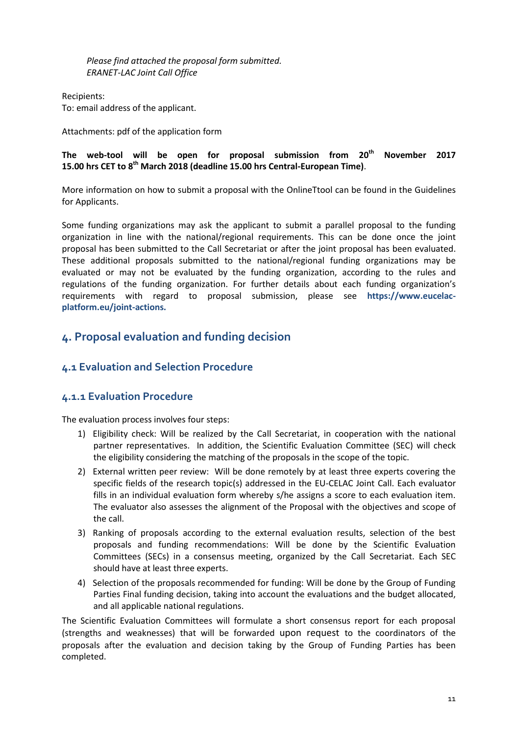*Please find attached the proposal form submitted. ERANET-LAC Joint Call Office*

Recipients: To: email address of the applicant.

Attachments: pdf of the application form

### **The web-tool will be open for proposal submission from 20th November 2017 15.00 hrs CET to 8 th March 2018 (deadline 15.00 hrs Central-European Time)**.

More information on how to submit a proposal with the OnlineTtool can be found in the Guidelines for Applicants.

Some funding organizations may ask the applicant to submit a parallel proposal to the funding organization in line with the national/regional requirements. This can be done once the joint proposal has been submitted to the Call Secretariat or after the joint proposal has been evaluated. These additional proposals submitted to the national/regional funding organizations may be evaluated or may not be evaluated by the funding organization, according to the rules and regulations of the funding organization. For further details about each funding organization's requirements with regard to proposal submission, please see **[https://www.eucelac](https://www.eucelac-platform.eu/joint-actions)[platform.eu/joint-actions.](https://www.eucelac-platform.eu/joint-actions)**

## <span id="page-10-0"></span>**4. Proposal evaluation and funding decision**

## <span id="page-10-1"></span>**4.1 Evaluation and Selection Procedure**

### <span id="page-10-2"></span>**4.1.1 Evaluation Procedure**

The evaluation process involves four steps:

- 1) Eligibility check: Will be realized by the Call Secretariat, in cooperation with the national partner representatives. In addition, the Scientific Evaluation Committee (SEC) will check the eligibility considering the matching of the proposals in the scope of the topic.
- 2) External written peer review: Will be done remotely by at least three experts covering the specific fields of the research topic(s) addressed in the EU-CELAC Joint Call. Each evaluator fills in an individual evaluation form whereby s/he assigns a score to each evaluation item. The evaluator also assesses the alignment of the Proposal with the objectives and scope of the call.
- 3) Ranking of proposals according to the external evaluation results, selection of the best proposals and funding recommendations: Will be done by the Scientific Evaluation Committees (SECs) in a consensus meeting, organized by the Call Secretariat. Each SEC should have at least three experts.
- 4) Selection of the proposals recommended for funding: Will be done by the Group of Funding Parties Final funding decision, taking into account the evaluations and the budget allocated, and all applicable national regulations.

The Scientific Evaluation Committees will formulate a short consensus report for each proposal (strengths and weaknesses) that will be forwarded upon request to the coordinators of the proposals after the evaluation and decision taking by the Group of Funding Parties has been completed.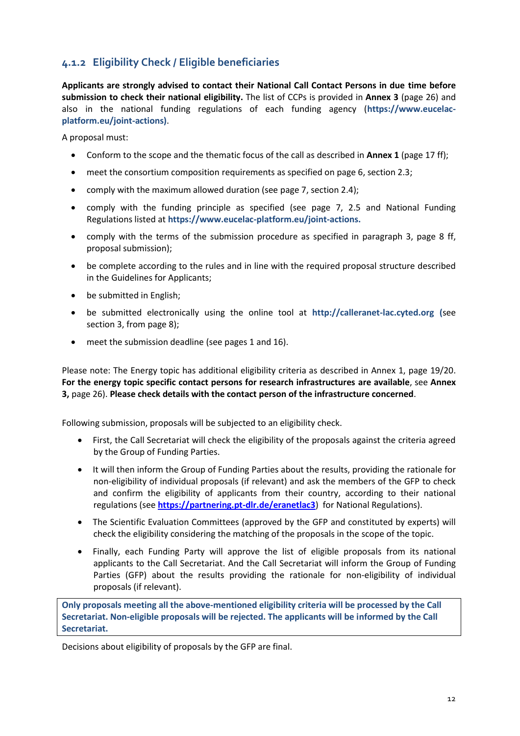## <span id="page-11-0"></span>**4.1.2 Eligibility Check / Eligible beneficiaries**

**Applicants are strongly advised to contact their National Call Contact Persons in due time before submission to check their national eligibility.** The list of CCPs is provided in **Annex 3** (page 26) and also in the national funding regulations of each funding agency (**[https://www.eucelac](https://www.eucelac-platform.eu/joint-actions)[platform.eu/joint-actions\)](https://www.eucelac-platform.eu/joint-actions)**.

A proposal must:

- Conform to the scope and the thematic focus of the call as described in **Annex 1** (page 17 ff);
- meet the consortium composition requirements as specified on page 6, section 2.3;
- comply with the maximum allowed duration (see page 7, section 2.4);
- comply with the funding principle as specified (see page 7, 2.5 and National Funding Regulations listed at **[https://www.eucelac-platform.eu/joint-actions.](https://www.eucelac-platform.eu/joint-actions)**
- comply with the terms of the submission procedure as specified in paragraph 3, page 8 ff, proposal submission);
- be complete according to the rules and in line with the required proposal structure described in the Guidelines for Applicants;
- be submitted in English;
- be submitted electronically using the online tool at **[http://calleranet-lac.cyted.org](http://calleranet-lac.cyted.org/) (**see section 3, from page 8);
- meet the submission deadline (see pages 1 and 16).

Please note: The Energy topic has additional eligibility criteria as described in Annex 1, page 19/20. **For the energy topic specific contact persons for research infrastructures are available**, see **Annex 3,** page 26). **Please check details with the contact person of the infrastructure concerned**.

Following submission, proposals will be subjected to an eligibility check.

- First, the Call Secretariat will check the eligibility of the proposals against the criteria agreed by the Group of Funding Parties.
- It will then inform the Group of Funding Parties about the results, providing the rationale for non-eligibility of individual proposals (if relevant) and ask the members of the GFP to check and confirm the eligibility of applicants from their country, according to their national regulations (see **<https://partnering.pt-dlr.de/eranetlac3>**) for National Regulations).
- The Scientific Evaluation Committees (approved by the GFP and constituted by experts) will check the eligibility considering the matching of the proposals in the scope of the topic.
- Finally, each Funding Party will approve the list of eligible proposals from its national applicants to the Call Secretariat. And the Call Secretariat will inform the Group of Funding Parties (GFP) about the results providing the rationale for non-eligibility of individual proposals (if relevant).

**Only proposals meeting all the above-mentioned eligibility criteria will be processed by the Call Secretariat. Non-eligible proposals will be rejected. The applicants will be informed by the Call Secretariat.**

Decisions about eligibility of proposals by the GFP are final.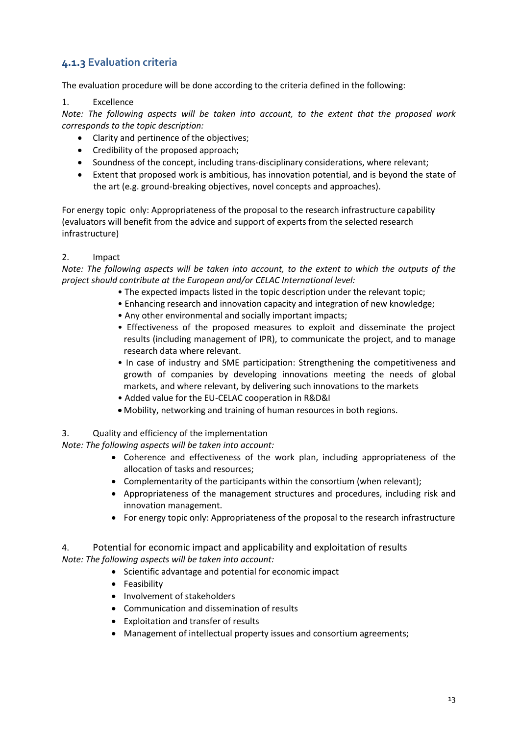## <span id="page-12-0"></span>**4.1.3 Evaluation criteria**

The evaluation procedure will be done according to the criteria defined in the following:

#### 1. Excellence

*Note: The following aspects will be taken into account, to the extent that the proposed work corresponds to the topic description:* 

- Clarity and pertinence of the objectives;
- Credibility of the proposed approach;
- Soundness of the concept, including trans-disciplinary considerations, where relevant;
- Extent that proposed work is ambitious, has innovation potential, and is beyond the state of the art (e.g. ground-breaking objectives, novel concepts and approaches).

For energy topic only: Appropriateness of the proposal to the research infrastructure capability (evaluators will benefit from the advice and support of experts from the selected research infrastructure)

### 2. Impact

*Note: The following aspects will be taken into account, to the extent to which the outputs of the project should contribute at the European and/or CELAC International level:* 

- The expected impacts listed in the topic description under the relevant topic;
- Enhancing research and innovation capacity and integration of new knowledge;
- Any other environmental and socially important impacts;
- Effectiveness of the proposed measures to exploit and disseminate the project results (including management of IPR), to communicate the project, and to manage research data where relevant.
- In case of industry and SME participation: Strengthening the competitiveness and growth of companies by developing innovations meeting the needs of global markets, and where relevant, by delivering such innovations to the markets
- Added value for the EU-CELAC cooperation in R&D&I
- Mobility, networking and training of human resources in both regions.

3. Quality and efficiency of the implementation

*Note: The following aspects will be taken into account:* 

- Coherence and effectiveness of the work plan, including appropriateness of the allocation of tasks and resources;
- Complementarity of the participants within the consortium (when relevant);
- Appropriateness of the management structures and procedures, including risk and innovation management.
- For energy topic only: Appropriateness of the proposal to the research infrastructure

4. Potential for economic impact and applicability and exploitation of results *Note: The following aspects will be taken into account:* 

- Scientific advantage and potential for economic impact
- Feasibility
- Involvement of stakeholders
- Communication and dissemination of results
- Exploitation and transfer of results
- Management of intellectual property issues and consortium agreements;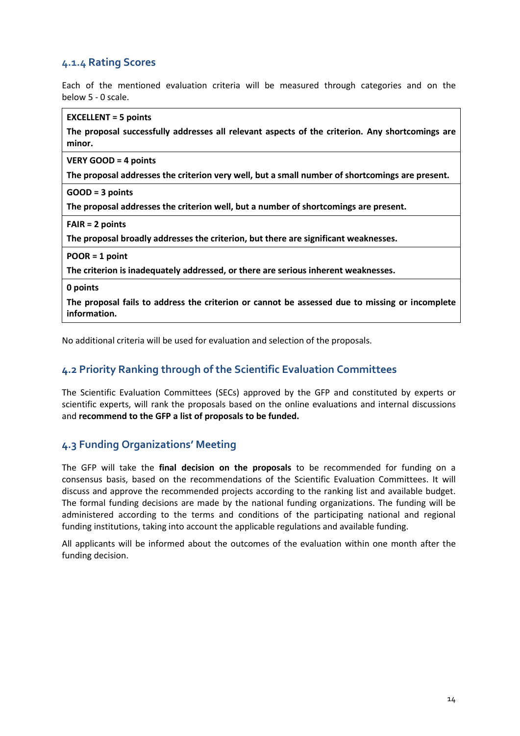## <span id="page-13-0"></span>**4.1.4 Rating Scores**

Each of the mentioned evaluation criteria will be measured through categories and on the below 5 - 0 scale.

| <b>EXCELLENT = 5 points</b>                                                                                    |
|----------------------------------------------------------------------------------------------------------------|
| The proposal successfully addresses all relevant aspects of the criterion. Any shortcomings are<br>minor.      |
|                                                                                                                |
| <b>VERY GOOD = 4 points</b>                                                                                    |
| The proposal addresses the criterion very well, but a small number of shortcomings are present.                |
| $GOOD = 3 points$                                                                                              |
| The proposal addresses the criterion well, but a number of shortcomings are present.                           |
| $FAIR = 2 points$                                                                                              |
| The proposal broadly addresses the criterion, but there are significant weaknesses.                            |
| $POOR = 1 point$                                                                                               |
| The criterion is inadequately addressed, or there are serious inherent weaknesses.                             |
| 0 points                                                                                                       |
| The proposal fails to address the criterion or cannot be assessed due to missing or incomplete<br>information. |
| No additional criteria will be used for evaluation and selection of the proposals.                             |
|                                                                                                                |

<span id="page-13-1"></span>

## **4.2 Priority Ranking through of the Scientific Evaluation Committees**

The Scientific Evaluation Committees (SECs) approved by the GFP and constituted by experts or scientific experts, will rank the proposals based on the online evaluations and internal discussions and **recommend to the GFP a list of proposals to be funded.** 

## <span id="page-13-2"></span>**4.3 Funding Organizations' Meeting**

The GFP will take the **final decision on the proposals** to be recommended for funding on a consensus basis, based on the recommendations of the Scientific Evaluation Committees. It will discuss and approve the recommended projects according to the ranking list and available budget. The formal funding decisions are made by the national funding organizations. The funding will be administered according to the terms and conditions of the participating national and regional funding institutions, taking into account the applicable regulations and available funding.

All applicants will be informed about the outcomes of the evaluation within one month after the funding decision.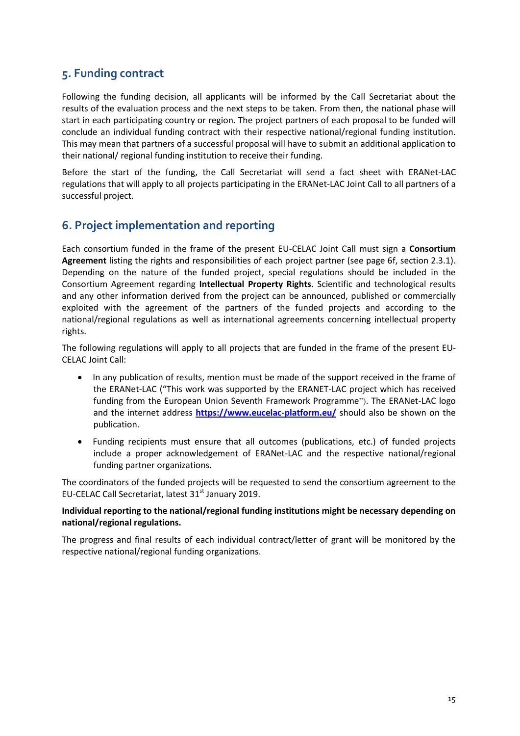## <span id="page-14-0"></span>**5. Funding contract**

Following the funding decision, all applicants will be informed by the Call Secretariat about the results of the evaluation process and the next steps to be taken. From then, the national phase will start in each participating country or region. The project partners of each proposal to be funded will conclude an individual funding contract with their respective national/regional funding institution. This may mean that partners of a successful proposal will have to submit an additional application to their national/ regional funding institution to receive their funding.

Before the start of the funding, the Call Secretariat will send a fact sheet with ERANet-LAC regulations that will apply to all projects participating in the ERANet-LAC Joint Call to all partners of a successful project.

## <span id="page-14-1"></span>**6. Project implementation and reporting**

Each consortium funded in the frame of the present EU-CELAC Joint Call must sign a **Consortium Agreement** listing the rights and responsibilities of each project partner (see page 6f, section 2.3.1). Depending on the nature of the funded project, special regulations should be included in the Consortium Agreement regarding **Intellectual Property Rights**. Scientific and technological results and any other information derived from the project can be announced, published or commercially exploited with the agreement of the partners of the funded projects and according to the national/regional regulations as well as international agreements concerning intellectual property rights.

The following regulations will apply to all projects that are funded in the frame of the present EU-CELAC Joint Call:

- In any publication of results, mention must be made of the support received in the frame of the ERANet-LAC ("This work was supported by the ERANET-LAC project which has received funding from the European Union Seventh Framework Programme"). The ERANet-LAC logo and the internet address **<https://www.eucelac-platform.eu/>** should also be shown on the publication.
- Funding recipients must ensure that all outcomes (publications, etc.) of funded projects include a proper acknowledgement of ERANet-LAC and the respective national/regional funding partner organizations.

The coordinators of the funded projects will be requested to send the consortium agreement to the EU-CELAC Call Secretariat, latest 31<sup>st</sup> January 2019.

#### **Individual reporting to the national/regional funding institutions might be necessary depending on national/regional regulations.**

The progress and final results of each individual contract/letter of grant will be monitored by the respective national/regional funding organizations.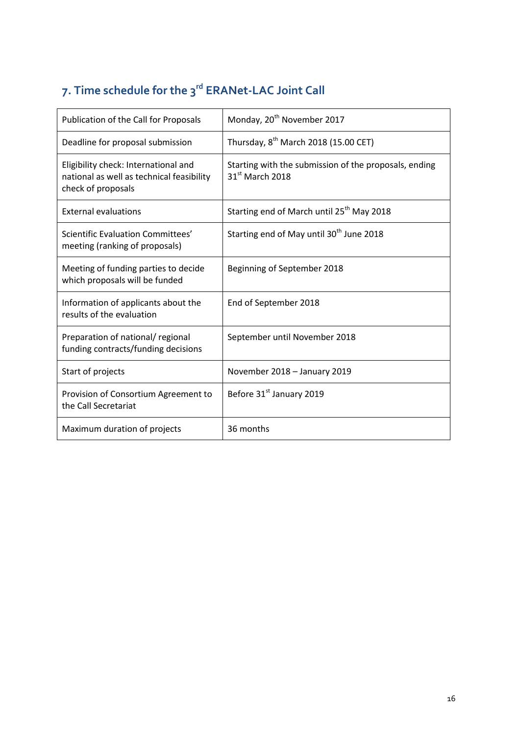# <span id="page-15-0"></span>**7. Time schedule for the 3 rd ERANet-LAC Joint Call**

| Publication of the Call for Proposals                                                                   | Monday, 20 <sup>th</sup> November 2017                                               |
|---------------------------------------------------------------------------------------------------------|--------------------------------------------------------------------------------------|
| Deadline for proposal submission                                                                        | Thursday, 8 <sup>th</sup> March 2018 (15.00 CET)                                     |
| Eligibility check: International and<br>national as well as technical feasibility<br>check of proposals | Starting with the submission of the proposals, ending<br>31 <sup>st</sup> March 2018 |
| <b>External evaluations</b>                                                                             | Starting end of March until 25 <sup>th</sup> May 2018                                |
| Scientific Evaluation Committees'<br>meeting (ranking of proposals)                                     | Starting end of May until 30 <sup>th</sup> June 2018                                 |
| Meeting of funding parties to decide<br>which proposals will be funded                                  | Beginning of September 2018                                                          |
| Information of applicants about the<br>results of the evaluation                                        | End of September 2018                                                                |
| Preparation of national/ regional<br>funding contracts/funding decisions                                | September until November 2018                                                        |
| Start of projects                                                                                       | November 2018 - January 2019                                                         |
| Provision of Consortium Agreement to<br>the Call Secretariat                                            | Before 31 <sup>st</sup> January 2019                                                 |
| Maximum duration of projects                                                                            | 36 months                                                                            |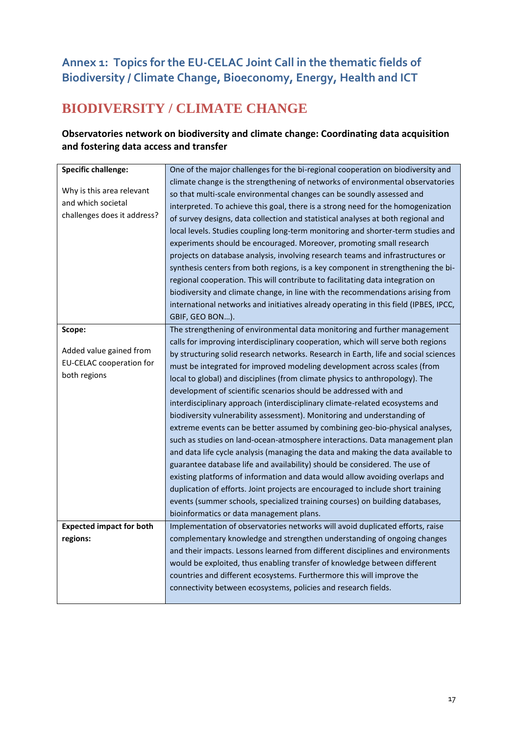# <span id="page-16-0"></span>**Annex 1: Topics for the EU-CELAC Joint Call in the thematic fields of Biodiversity / Climate Change, Bioeconomy, Energy, Health and ICT**

# **BIODIVERSITY / CLIMATE CHANGE**

## **Observatories network on biodiversity and climate change: Coordinating data acquisition and fostering data access and transfer**

| <b>Specific challenge:</b>      | One of the major challenges for the bi-regional cooperation on biodiversity and      |
|---------------------------------|--------------------------------------------------------------------------------------|
|                                 | climate change is the strengthening of networks of environmental observatories       |
| Why is this area relevant       | so that multi-scale environmental changes can be soundly assessed and                |
| and which societal              | interpreted. To achieve this goal, there is a strong need for the homogenization     |
| challenges does it address?     | of survey designs, data collection and statistical analyses at both regional and     |
|                                 | local levels. Studies coupling long-term monitoring and shorter-term studies and     |
|                                 | experiments should be encouraged. Moreover, promoting small research                 |
|                                 | projects on database analysis, involving research teams and infrastructures or       |
|                                 | synthesis centers from both regions, is a key component in strengthening the bi-     |
|                                 | regional cooperation. This will contribute to facilitating data integration on       |
|                                 | biodiversity and climate change, in line with the recommendations arising from       |
|                                 | international networks and initiatives already operating in this field (IPBES, IPCC, |
|                                 | GBIF, GEO BON).                                                                      |
| Scope:                          | The strengthening of environmental data monitoring and further management            |
|                                 | calls for improving interdisciplinary cooperation, which will serve both regions     |
| Added value gained from         | by structuring solid research networks. Research in Earth, life and social sciences  |
| <b>EU-CELAC cooperation for</b> | must be integrated for improved modeling development across scales (from             |
| both regions                    | local to global) and disciplines (from climate physics to anthropology). The         |
|                                 | development of scientific scenarios should be addressed with and                     |
|                                 | interdisciplinary approach (interdisciplinary climate-related ecosystems and         |
|                                 | biodiversity vulnerability assessment). Monitoring and understanding of              |
|                                 | extreme events can be better assumed by combining geo-bio-physical analyses,         |
|                                 | such as studies on land-ocean-atmosphere interactions. Data management plan          |
|                                 | and data life cycle analysis (managing the data and making the data available to     |
|                                 | guarantee database life and availability) should be considered. The use of           |
|                                 | existing platforms of information and data would allow avoiding overlaps and         |
|                                 | duplication of efforts. Joint projects are encouraged to include short training      |
|                                 | events (summer schools, specialized training courses) on building databases,         |
|                                 | bioinformatics or data management plans.                                             |
| <b>Expected impact for both</b> | Implementation of observatories networks will avoid duplicated efforts, raise        |
| regions:                        | complementary knowledge and strengthen understanding of ongoing changes              |
|                                 | and their impacts. Lessons learned from different disciplines and environments       |
|                                 | would be exploited, thus enabling transfer of knowledge between different            |
|                                 | countries and different ecosystems. Furthermore this will improve the                |
|                                 | connectivity between ecosystems, policies and research fields.                       |
|                                 |                                                                                      |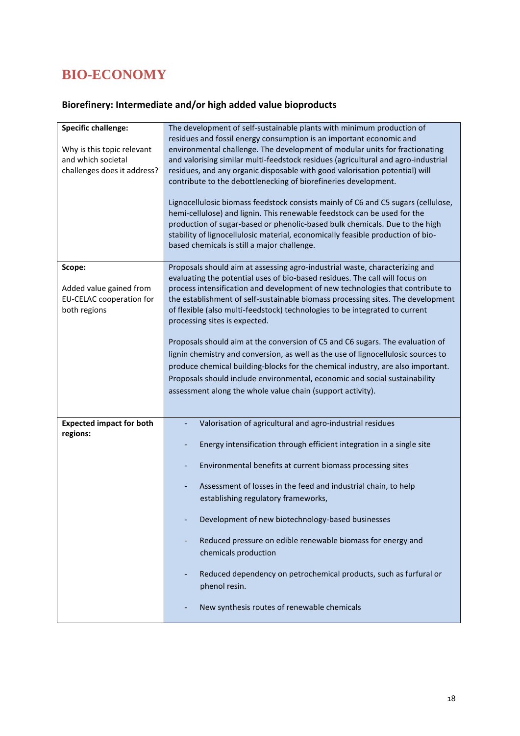# **BIO-ECONOMY**

# **Biorefinery: Intermediate and/or high added value bioproducts**

| <b>Specific challenge:</b>      | The development of self-sustainable plants with minimum production of             |
|---------------------------------|-----------------------------------------------------------------------------------|
|                                 | residues and fossil energy consumption is an important economic and               |
| Why is this topic relevant      | environmental challenge. The development of modular units for fractionating       |
| and which societal              | and valorising similar multi-feedstock residues (agricultural and agro-industrial |
| challenges does it address?     | residues, and any organic disposable with good valorisation potential) will       |
|                                 | contribute to the debottlenecking of biorefineries development.                   |
|                                 |                                                                                   |
|                                 | Lignocellulosic biomass feedstock consists mainly of C6 and C5 sugars (cellulose, |
|                                 | hemi-cellulose) and lignin. This renewable feedstock can be used for the          |
|                                 | production of sugar-based or phenolic-based bulk chemicals. Due to the high       |
|                                 |                                                                                   |
|                                 | stability of lignocellulosic material, economically feasible production of bio-   |
|                                 | based chemicals is still a major challenge.                                       |
|                                 |                                                                                   |
| Scope:                          | Proposals should aim at assessing agro-industrial waste, characterizing and       |
|                                 | evaluating the potential uses of bio-based residues. The call will focus on       |
| Added value gained from         | process intensification and development of new technologies that contribute to    |
| <b>EU-CELAC cooperation for</b> | the establishment of self-sustainable biomass processing sites. The development   |
| both regions                    | of flexible (also multi-feedstock) technologies to be integrated to current       |
|                                 | processing sites is expected.                                                     |
|                                 |                                                                                   |
|                                 | Proposals should aim at the conversion of C5 and C6 sugars. The evaluation of     |
|                                 | lignin chemistry and conversion, as well as the use of lignocellulosic sources to |
|                                 | produce chemical building-blocks for the chemical industry, are also important.   |
|                                 | Proposals should include environmental, economic and social sustainability        |
|                                 | assessment along the whole value chain (support activity).                        |
|                                 |                                                                                   |
|                                 |                                                                                   |
| <b>Expected impact for both</b> | Valorisation of agricultural and agro-industrial residues                         |
| regions:                        |                                                                                   |
|                                 | Energy intensification through efficient integration in a single site             |
|                                 |                                                                                   |
|                                 | Environmental benefits at current biomass processing sites                        |
|                                 | Assessment of losses in the feed and industrial chain, to help                    |
|                                 |                                                                                   |
|                                 | establishing regulatory frameworks,                                               |
|                                 | Development of new biotechnology-based businesses<br>-                            |
|                                 |                                                                                   |
|                                 | Reduced pressure on edible renewable biomass for energy and<br>÷,                 |
|                                 | chemicals production                                                              |
|                                 |                                                                                   |
|                                 | Reduced dependency on petrochemical products, such as furfural or                 |
|                                 | phenol resin.                                                                     |
|                                 |                                                                                   |
|                                 | New synthesis routes of renewable chemicals                                       |
|                                 |                                                                                   |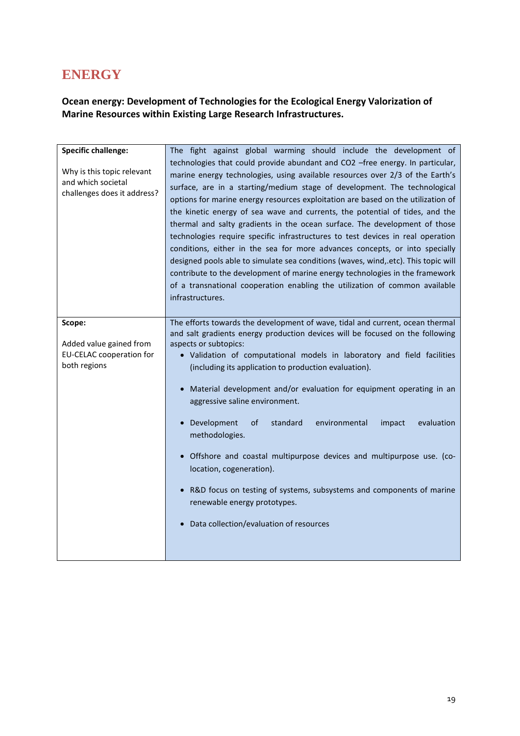# **ENERGY**

## **Ocean energy: Development of Technologies for the Ecological Energy Valorization of Marine Resources within Existing Large Research Infrastructures.**

| <b>Specific challenge:</b><br>Why is this topic relevant<br>and which societal<br>challenges does it address? | The fight against global warming should include the development of<br>technologies that could provide abundant and CO2 -free energy. In particular,<br>marine energy technologies, using available resources over 2/3 of the Earth's<br>surface, are in a starting/medium stage of development. The technological<br>options for marine energy resources exploitation are based on the utilization of<br>the kinetic energy of sea wave and currents, the potential of tides, and the<br>thermal and salty gradients in the ocean surface. The development of those<br>technologies require specific infrastructures to test devices in real operation<br>conditions, either in the sea for more advances concepts, or into specially<br>designed pools able to simulate sea conditions (waves, wind, etc). This topic will<br>contribute to the development of marine energy technologies in the framework<br>of a transnational cooperation enabling the utilization of common available<br>infrastructures. |
|---------------------------------------------------------------------------------------------------------------|----------------------------------------------------------------------------------------------------------------------------------------------------------------------------------------------------------------------------------------------------------------------------------------------------------------------------------------------------------------------------------------------------------------------------------------------------------------------------------------------------------------------------------------------------------------------------------------------------------------------------------------------------------------------------------------------------------------------------------------------------------------------------------------------------------------------------------------------------------------------------------------------------------------------------------------------------------------------------------------------------------------|
| Scope:<br>Added value gained from<br>EU-CELAC cooperation for<br>both regions                                 | The efforts towards the development of wave, tidal and current, ocean thermal<br>and salt gradients energy production devices will be focused on the following<br>aspects or subtopics:<br>· Validation of computational models in laboratory and field facilities<br>(including its application to production evaluation).<br>• Material development and/or evaluation for equipment operating in an<br>aggressive saline environment.<br>• Development<br>of<br>standard<br>environmental<br>impact<br>evaluation<br>methodologies.<br>· Offshore and coastal multipurpose devices and multipurpose use. (co-<br>location, cogeneration).<br>• R&D focus on testing of systems, subsystems and components of marine<br>renewable energy prototypes.<br>Data collection/evaluation of resources                                                                                                                                                                                                               |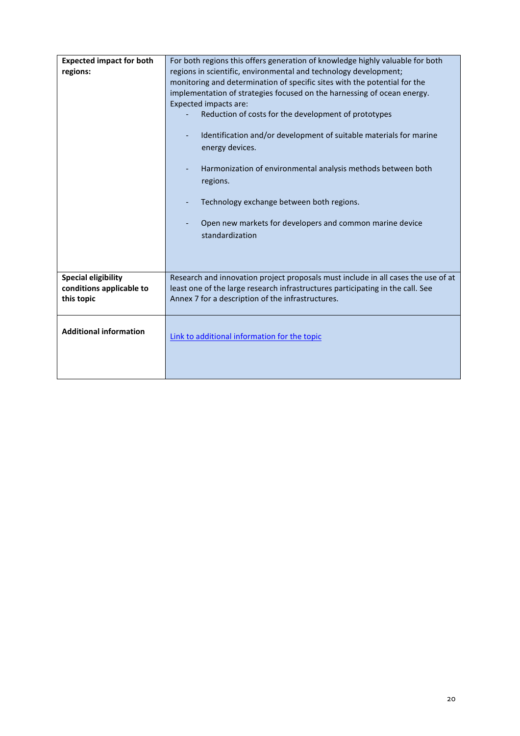| <b>Expected impact for both</b><br>regions:                          | For both regions this offers generation of knowledge highly valuable for both<br>regions in scientific, environmental and technology development;<br>monitoring and determination of specific sites with the potential for the<br>implementation of strategies focused on the harnessing of ocean energy.<br>Expected impacts are:<br>Reduction of costs for the development of prototypes<br>Identification and/or development of suitable materials for marine<br>energy devices.<br>Harmonization of environmental analysis methods between both<br>regions.<br>Technology exchange between both regions.<br>Open new markets for developers and common marine device<br>standardization |
|----------------------------------------------------------------------|---------------------------------------------------------------------------------------------------------------------------------------------------------------------------------------------------------------------------------------------------------------------------------------------------------------------------------------------------------------------------------------------------------------------------------------------------------------------------------------------------------------------------------------------------------------------------------------------------------------------------------------------------------------------------------------------|
| <b>Special eligibility</b><br>conditions applicable to<br>this topic | Research and innovation project proposals must include in all cases the use of at<br>least one of the large research infrastructures participating in the call. See<br>Annex 7 for a description of the infrastructures.                                                                                                                                                                                                                                                                                                                                                                                                                                                                    |
| <b>Additional information</b>                                        | Link to additional information for the topic                                                                                                                                                                                                                                                                                                                                                                                                                                                                                                                                                                                                                                                |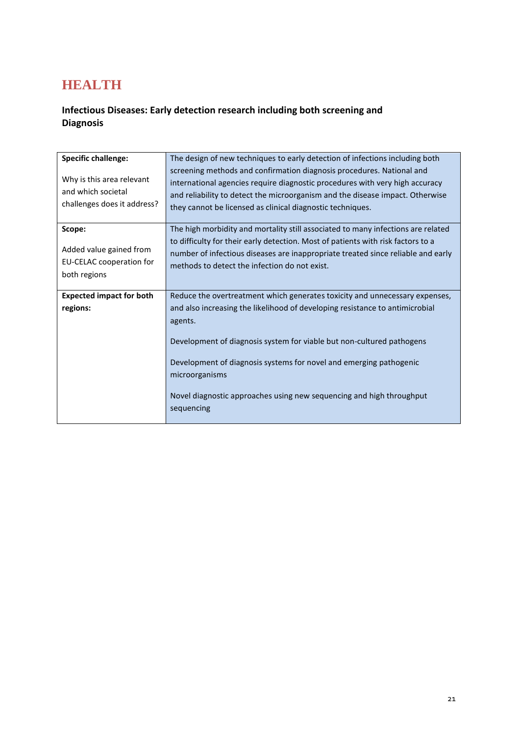# **HEALTH**

## **Infectious Diseases: Early detection research including both screening and Diagnosis**

| <b>Specific challenge:</b>                                                           | The design of new techniques to early detection of infections including both                                                                                                                                                                                                                                                                   |
|--------------------------------------------------------------------------------------|------------------------------------------------------------------------------------------------------------------------------------------------------------------------------------------------------------------------------------------------------------------------------------------------------------------------------------------------|
| Why is this area relevant<br>and which societal<br>challenges does it address?       | screening methods and confirmation diagnosis procedures. National and<br>international agencies require diagnostic procedures with very high accuracy<br>and reliability to detect the microorganism and the disease impact. Otherwise<br>they cannot be licensed as clinical diagnostic techniques.                                           |
| Scope:<br>Added value gained from<br><b>EU-CELAC cooperation for</b><br>both regions | The high morbidity and mortality still associated to many infections are related<br>to difficulty for their early detection. Most of patients with risk factors to a<br>number of infectious diseases are inappropriate treated since reliable and early<br>methods to detect the infection do not exist.                                      |
| <b>Expected impact for both</b>                                                      | Reduce the overtreatment which generates toxicity and unnecessary expenses,                                                                                                                                                                                                                                                                    |
| regions:                                                                             | and also increasing the likelihood of developing resistance to antimicrobial<br>agents.<br>Development of diagnosis system for viable but non-cultured pathogens<br>Development of diagnosis systems for novel and emerging pathogenic<br>microorganisms<br>Novel diagnostic approaches using new sequencing and high throughput<br>sequencing |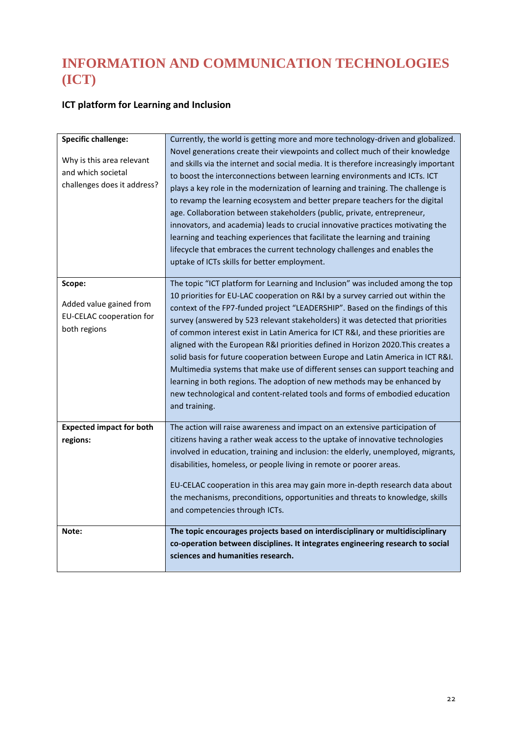# **INFORMATION AND COMMUNICATION TECHNOLOGIES (ICT)**

## **ICT platform for Learning and Inclusion**

| <b>Specific challenge:</b>                                                           | Currently, the world is getting more and more technology-driven and globalized.                                                                                                                                                                                                                                                                                                                                                                                                                                                                                                                                                                                                                                                                                                                                                                            |
|--------------------------------------------------------------------------------------|------------------------------------------------------------------------------------------------------------------------------------------------------------------------------------------------------------------------------------------------------------------------------------------------------------------------------------------------------------------------------------------------------------------------------------------------------------------------------------------------------------------------------------------------------------------------------------------------------------------------------------------------------------------------------------------------------------------------------------------------------------------------------------------------------------------------------------------------------------|
| Why is this area relevant<br>and which societal<br>challenges does it address?       | Novel generations create their viewpoints and collect much of their knowledge<br>and skills via the internet and social media. It is therefore increasingly important<br>to boost the interconnections between learning environments and ICTs. ICT<br>plays a key role in the modernization of learning and training. The challenge is<br>to revamp the learning ecosystem and better prepare teachers for the digital<br>age. Collaboration between stakeholders (public, private, entrepreneur,<br>innovators, and academia) leads to crucial innovative practices motivating the<br>learning and teaching experiences that facilitate the learning and training<br>lifecycle that embraces the current technology challenges and enables the<br>uptake of ICTs skills for better employment.                                                            |
| Scope:<br>Added value gained from<br><b>EU-CELAC cooperation for</b><br>both regions | The topic "ICT platform for Learning and Inclusion" was included among the top<br>10 priorities for EU-LAC cooperation on R&I by a survey carried out within the<br>context of the FP7-funded project "LEADERSHIP". Based on the findings of this<br>survey (answered by 523 relevant stakeholders) it was detected that priorities<br>of common interest exist in Latin America for ICT R&I, and these priorities are<br>aligned with the European R&I priorities defined in Horizon 2020. This creates a<br>solid basis for future cooperation between Europe and Latin America in ICT R&I.<br>Multimedia systems that make use of different senses can support teaching and<br>learning in both regions. The adoption of new methods may be enhanced by<br>new technological and content-related tools and forms of embodied education<br>and training. |
| <b>Expected impact for both</b><br>regions:                                          | The action will raise awareness and impact on an extensive participation of<br>citizens having a rather weak access to the uptake of innovative technologies<br>involved in education, training and inclusion: the elderly, unemployed, migrants,<br>disabilities, homeless, or people living in remote or poorer areas.<br>EU-CELAC cooperation in this area may gain more in-depth research data about<br>the mechanisms, preconditions, opportunities and threats to knowledge, skills<br>and competencies through ICTs.                                                                                                                                                                                                                                                                                                                                |
| Note:                                                                                | The topic encourages projects based on interdisciplinary or multidisciplinary<br>co-operation between disciplines. It integrates engineering research to social<br>sciences and humanities research.                                                                                                                                                                                                                                                                                                                                                                                                                                                                                                                                                                                                                                                       |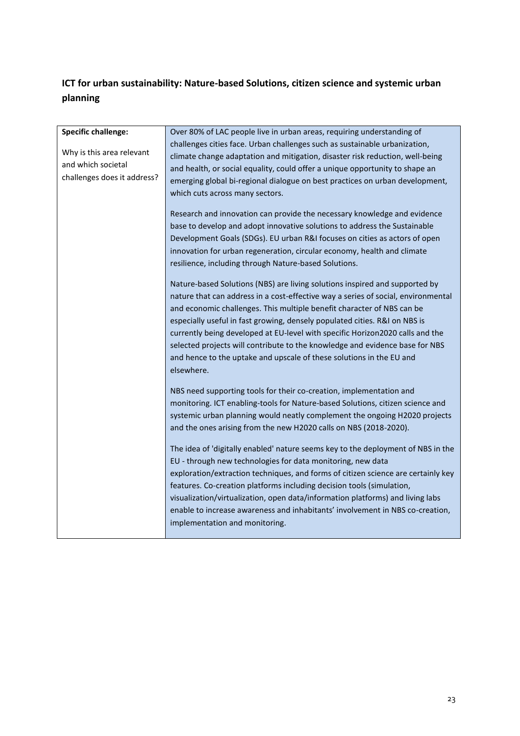## **ICT for urban sustainability: Nature-based Solutions, citizen science and systemic urban planning**

| <b>Specific challenge:</b>  | Over 80% of LAC people live in urban areas, requiring understanding of            |
|-----------------------------|-----------------------------------------------------------------------------------|
| Why is this area relevant   | challenges cities face. Urban challenges such as sustainable urbanization,        |
|                             | climate change adaptation and mitigation, disaster risk reduction, well-being     |
| and which societal          | and health, or social equality, could offer a unique opportunity to shape an      |
| challenges does it address? | emerging global bi-regional dialogue on best practices on urban development,      |
|                             | which cuts across many sectors.                                                   |
|                             |                                                                                   |
|                             | Research and innovation can provide the necessary knowledge and evidence          |
|                             | base to develop and adopt innovative solutions to address the Sustainable         |
|                             | Development Goals (SDGs). EU urban R&I focuses on cities as actors of open        |
|                             | innovation for urban regeneration, circular economy, health and climate           |
|                             | resilience, including through Nature-based Solutions.                             |
|                             | Nature-based Solutions (NBS) are living solutions inspired and supported by       |
|                             | nature that can address in a cost-effective way a series of social, environmental |
|                             | and economic challenges. This multiple benefit character of NBS can be            |
|                             | especially useful in fast growing, densely populated cities. R&I on NBS is        |
|                             | currently being developed at EU-level with specific Horizon2020 calls and the     |
|                             | selected projects will contribute to the knowledge and evidence base for NBS      |
|                             | and hence to the uptake and upscale of these solutions in the EU and              |
|                             | elsewhere.                                                                        |
|                             |                                                                                   |
|                             | NBS need supporting tools for their co-creation, implementation and               |
|                             | monitoring. ICT enabling-tools for Nature-based Solutions, citizen science and    |
|                             | systemic urban planning would neatly complement the ongoing H2020 projects        |
|                             | and the ones arising from the new H2020 calls on NBS (2018-2020).                 |
|                             | The idea of 'digitally enabled' nature seems key to the deployment of NBS in the  |
|                             | EU - through new technologies for data monitoring, new data                       |
|                             | exploration/extraction techniques, and forms of citizen science are certainly key |
|                             | features. Co-creation platforms including decision tools (simulation,             |
|                             | visualization/virtualization, open data/information platforms) and living labs    |
|                             | enable to increase awareness and inhabitants' involvement in NBS co-creation,     |
|                             | implementation and monitoring.                                                    |
|                             |                                                                                   |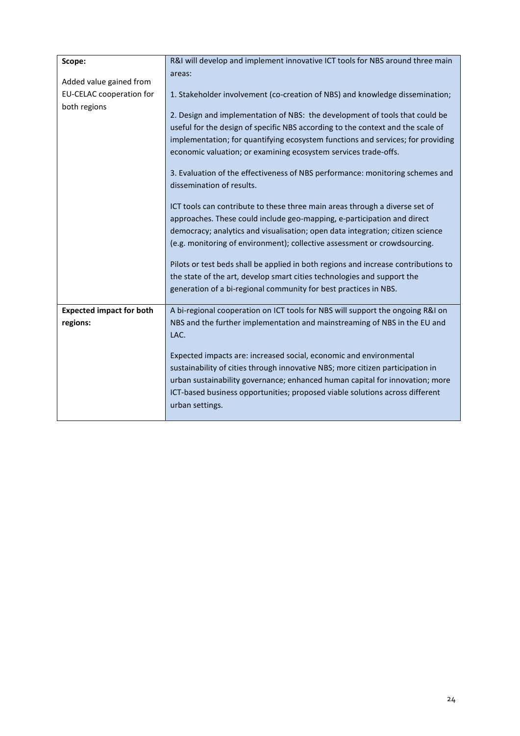| Scope:                          | R&I will develop and implement innovative ICT tools for NBS around three main      |
|---------------------------------|------------------------------------------------------------------------------------|
|                                 | areas:                                                                             |
| Added value gained from         |                                                                                    |
| <b>EU-CELAC cooperation for</b> | 1. Stakeholder involvement (co-creation of NBS) and knowledge dissemination;       |
| both regions                    |                                                                                    |
|                                 | 2. Design and implementation of NBS: the development of tools that could be        |
|                                 | useful for the design of specific NBS according to the context and the scale of    |
|                                 | implementation; for quantifying ecosystem functions and services; for providing    |
|                                 | economic valuation; or examining ecosystem services trade-offs.                    |
|                                 | 3. Evaluation of the effectiveness of NBS performance: monitoring schemes and      |
|                                 | dissemination of results.                                                          |
|                                 | ICT tools can contribute to these three main areas through a diverse set of        |
|                                 | approaches. These could include geo-mapping, e-participation and direct            |
|                                 | democracy; analytics and visualisation; open data integration; citizen science     |
|                                 | (e.g. monitoring of environment); collective assessment or crowdsourcing.          |
|                                 | Pilots or test beds shall be applied in both regions and increase contributions to |
|                                 |                                                                                    |
|                                 | the state of the art, develop smart cities technologies and support the            |
|                                 | generation of a bi-regional community for best practices in NBS.                   |
| <b>Expected impact for both</b> | A bi-regional cooperation on ICT tools for NBS will support the ongoing R&I on     |
| regions:                        | NBS and the further implementation and mainstreaming of NBS in the EU and          |
|                                 | LAC.                                                                               |
|                                 |                                                                                    |
|                                 | Expected impacts are: increased social, economic and environmental                 |
|                                 | sustainability of cities through innovative NBS; more citizen participation in     |
|                                 | urban sustainability governance; enhanced human capital for innovation; more       |
|                                 | ICT-based business opportunities; proposed viable solutions across different       |
|                                 | urban settings.                                                                    |
|                                 |                                                                                    |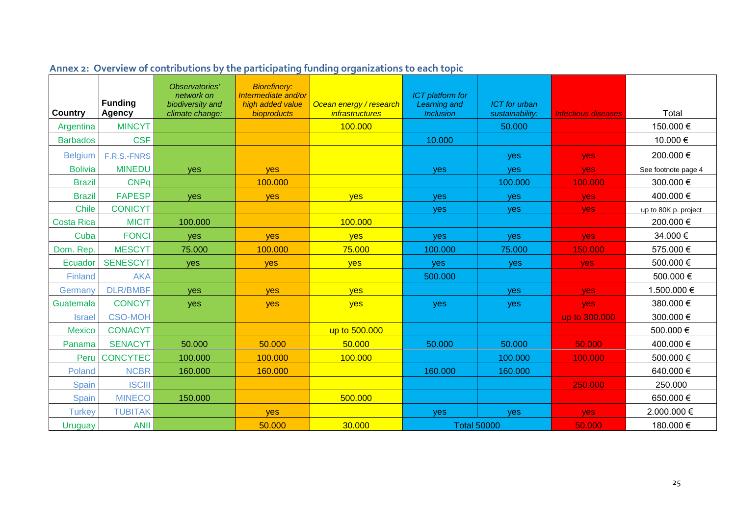<span id="page-24-0"></span>

|                   | <b>Funding</b>          | Observatories'<br>network on<br>biodiversity and | <b>Biorefinery:</b><br>Intermediate and/or<br>high added value | Ocean energy / research           | <b>ICT</b> platform for<br>Learning and | <b>ICT</b> for urban |                            |                      |
|-------------------|-------------------------|--------------------------------------------------|----------------------------------------------------------------|-----------------------------------|-----------------------------------------|----------------------|----------------------------|----------------------|
| <b>Country</b>    | Agency<br><b>MINCYT</b> | climate change:                                  | bioproducts                                                    | <i>infrastructures</i><br>100.000 | <b>Inclusion</b>                        | sustainability:      | <b>Infectious diseases</b> | Total<br>150.000€    |
| Argentina         | <b>CSF</b>              |                                                  |                                                                |                                   |                                         | 50.000               |                            |                      |
| <b>Barbados</b>   |                         |                                                  |                                                                |                                   | 10.000                                  |                      |                            | 10.000€              |
| <b>Belgium</b>    | F.R.S.-FNRS             |                                                  |                                                                |                                   |                                         | <b>ves</b>           | yes                        | 200.000 €            |
| <b>Bolivia</b>    | <b>MINEDU</b>           | yes                                              | <b>ves</b>                                                     |                                   | yes                                     | yes                  | yes                        | See footnote page 4  |
| <b>Brazil</b>     | <b>CNPq</b>             |                                                  | 100.000                                                        |                                   |                                         | 100.000              | 100.000                    | 300.000 €            |
| <b>Brazil</b>     | <b>FAPESP</b>           | yes                                              | yes                                                            | <b>yes</b>                        | yes                                     | yes                  | yes                        | 400.000 €            |
| <b>Chile</b>      | <b>CONICYT</b>          |                                                  |                                                                |                                   | yes                                     | <b>yes</b>           | <b>yes</b>                 | up to 80K p. project |
| <b>Costa Rica</b> | <b>MICIT</b>            | 100.000                                          |                                                                | 100.000                           |                                         |                      |                            | 200.000 €            |
| Cuba              | <b>FONCI</b>            | yes                                              | yes                                                            | yes                               | yes                                     | yes                  | yes                        | 34.000 €             |
| Dom. Rep.         | <b>MESCYT</b>           | 75.000                                           | 100.000                                                        | 75.000                            | 100.000                                 | 75.000               | 150.000                    | 575.000 €            |
| Ecuador           | <b>SENESCYT</b>         | yes                                              | yes                                                            | yes                               | yes                                     | yes                  | yes                        | 500.000 €            |
| Finland           | <b>AKA</b>              |                                                  |                                                                |                                   | 500.000                                 |                      |                            | 500.000 €            |
| Germany           | <b>DLR/BMBF</b>         | yes                                              | <b>ves</b>                                                     | yes                               |                                         | <b>ves</b>           | yes                        | 1.500.000 €          |
| Guatemala         | <b>CONCYT</b>           | yes                                              | yes                                                            | yes                               | yes                                     | <b>yes</b>           | yes                        | 380.000 €            |
| <b>Israel</b>     | <b>CSO-MOH</b>          |                                                  |                                                                |                                   |                                         |                      | up to 300.000              | 300.000 €            |
| <b>Mexico</b>     | <b>CONACYT</b>          |                                                  |                                                                | up to 500.000                     |                                         |                      |                            | 500.000 €            |
| Panama            | <b>SENACYT</b>          | 50.000                                           | 50.000                                                         | 50.000                            | 50.000                                  | 50.000               | 50.000                     | 400.000 €            |
| Peru              | <b>CONCYTEC</b>         | 100.000                                          | 100.000                                                        | 100.000                           |                                         | 100.000              | 100.000                    | 500.000 €            |
| Poland            | <b>NCBR</b>             | 160.000                                          | 160.000                                                        |                                   | 160.000                                 | 160.000              |                            | 640.000 €            |
| Spain             | <b>ISCIII</b>           |                                                  |                                                                |                                   |                                         |                      | 250.000                    | 250.000              |
| Spain             | <b>MINECO</b>           | 150.000                                          |                                                                | 500.000                           |                                         |                      |                            | 650.000€             |
| <b>Turkey</b>     | <b>TUBITAK</b>          |                                                  | <b>ves</b>                                                     |                                   | <b>ves</b>                              | <b>ves</b>           | yes                        | 2.000.000 €          |
| <b>Uruguay</b>    | <b>ANII</b>             |                                                  | 50.000                                                         | 30.000                            | <b>Total 50000</b>                      |                      | 50.000                     | 180.000 €            |

# **Annex 2: Overview of contributions by the participating funding organizations to each topic**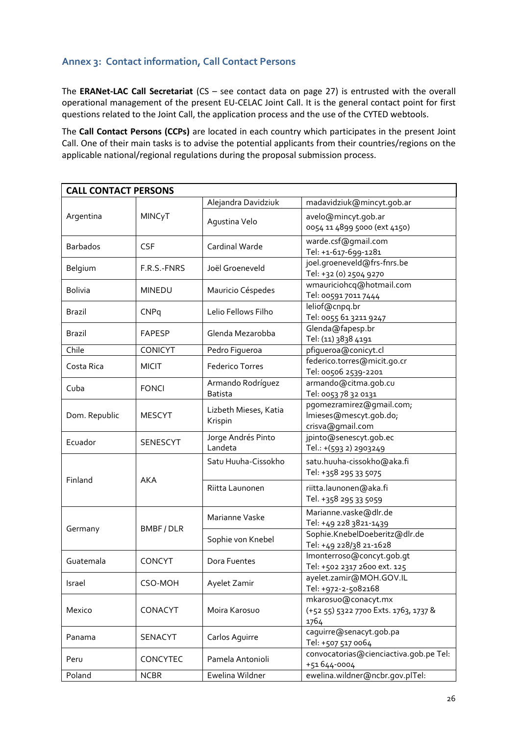## <span id="page-25-0"></span>**Annex 3: Contact information, Call Contact Persons**

The **ERANet-LAC Call Secretariat** (CS – see contact data on page 27) is entrusted with the overall operational management of the present EU-CELAC Joint Call. It is the general contact point for first questions related to the Joint Call, the application process and the use of the CYTED webtools.

The **Call Contact Persons (CCPs)** are located in each country which participates in the present Joint Call. One of their main tasks is to advise the potential applicants from their countries/regions on the applicable national/regional regulations during the proposal submission process.

| <b>CALL CONTACT PERSONS</b> |               |                                  |                                                 |  |  |
|-----------------------------|---------------|----------------------------------|-------------------------------------------------|--|--|
|                             |               | Alejandra Davidziuk              | madavidziuk@mincyt.gob.ar                       |  |  |
| Argentina                   | MINCyT        |                                  | avelo@mincyt.gob.ar                             |  |  |
|                             |               | Agustina Velo                    | 0054 11 4899 5000 (ext 4150)                    |  |  |
|                             | <b>CSF</b>    |                                  | warde.csf@gmail.com                             |  |  |
| <b>Barbados</b>             |               | Cardinal Warde                   | Tel: +1-617-699-1281                            |  |  |
| Belgium                     | F.R.S.-FNRS   | Joël Groeneveld                  | joel.groeneveld@frs-fnrs.be                     |  |  |
|                             |               |                                  | Tel: +32 (0) 2504 9270                          |  |  |
| <b>Bolivia</b>              | <b>MINEDU</b> | Mauricio Céspedes                | wmauriciohcq@hotmail.com                        |  |  |
|                             |               | Lelio Fellows Filho              | Tel: 00591 7011 7444<br>leliof@cnpq.br          |  |  |
| Brazil                      | CNPq          |                                  | Tel: 0055 61 3211 9247                          |  |  |
|                             |               |                                  | Glenda@fapesp.br                                |  |  |
| <b>Brazil</b>               | <b>FAPESP</b> | Glenda Mezarobba                 | Tel: (11) 3838 4191                             |  |  |
| Chile                       | CONICYT       | Pedro Figueroa                   | pfigueroa@conicyt.cl                            |  |  |
| Costa Rica                  |               | <b>Federico Torres</b>           | federico.torres@micit.go.cr                     |  |  |
|                             | <b>MICIT</b>  |                                  | Tel: 00506 2539-2201                            |  |  |
| Cuba                        | <b>FONCI</b>  | Armando Rodríguez                | armando@citma.gob.cu                            |  |  |
|                             |               | <b>Batista</b>                   | Tel: 0053 78 32 0131                            |  |  |
|                             | <b>MESCYT</b> | Lizbeth Mieses, Katia<br>Krispin | pgomezramirez@gmail.com;                        |  |  |
| Dom. Republic               |               |                                  | Imieses@mescyt.gob.do;                          |  |  |
|                             |               | Jorge Andrés Pinto               | crisva@gmail.com<br>jpinto@senescyt.gob.ec      |  |  |
| Ecuador                     | SENESCYT      | Landeta                          | Tel.: +(593 2) 2903249                          |  |  |
|                             | <b>AKA</b>    | Satu Huuha-Cissokho              | satu.huuha-cissokho@aka.fi                      |  |  |
|                             |               |                                  | Tel: +358 295 33 5075                           |  |  |
| Finland                     |               |                                  |                                                 |  |  |
|                             |               | Riitta Launonen                  | riitta.launonen@aka.fi<br>Tel. +358 295 33 5059 |  |  |
|                             |               |                                  |                                                 |  |  |
|                             | BMBF/DLR      | Marianne Vaske                   | Marianne.vaske@dlr.de<br>Tel: +49 228 3821-1439 |  |  |
| Germany                     |               |                                  | Sophie.KnebelDoeberitz@dlr.de                   |  |  |
|                             |               | Sophie von Knebel                | Tel: +49 228/38 21-1628                         |  |  |
|                             | <b>CONCYT</b> |                                  | Imonterroso@concyt.gob.gt                       |  |  |
| Guatemala                   |               | Dora Fuentes                     | Tel: +502 2317 2600 ext. 125                    |  |  |
| Israel                      |               | Ayelet Zamir                     | ayelet.zamir@MOH.GOV.IL                         |  |  |
|                             | CSO-MOH       |                                  | Tel: +972-2-5082168                             |  |  |
|                             |               |                                  | mkarosuo@conacyt.mx                             |  |  |
| Mexico                      | CONACYT       | Moira Karosuo                    | (+52 55) 5322 7700 Exts. 1763, 1737 &           |  |  |
|                             |               |                                  | 1764                                            |  |  |
| Panama                      | SENACYT       | Carlos Aguirre                   | caguirre@senacyt.gob.pa<br>Tel: +507 517 0064   |  |  |
|                             |               |                                  | convocatorias@cienciactiva.gob.pe Tel:          |  |  |
| Peru                        | CONCYTEC      | Pamela Antonioli                 | +51644-0004                                     |  |  |
| Poland                      | <b>NCBR</b>   | Ewelina Wildner                  | ewelina.wildner@ncbr.gov.plTel:                 |  |  |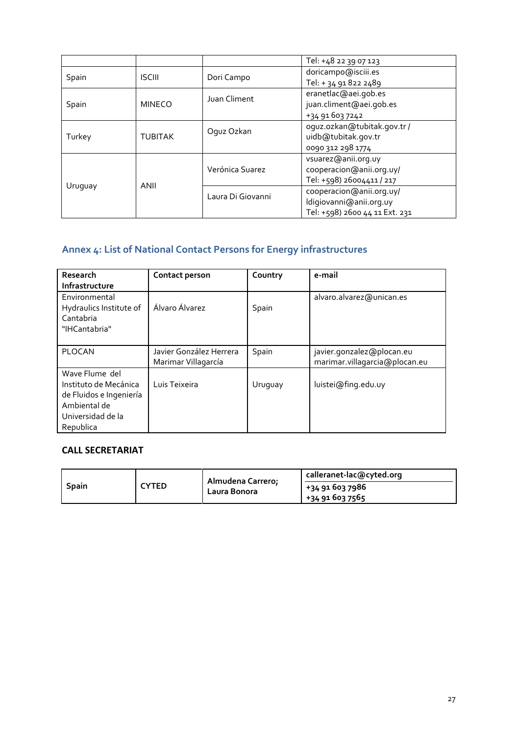|         |                |                   | Tel: +48 22 39 07 123          |  |
|---------|----------------|-------------------|--------------------------------|--|
| Spain   | <b>ISCIII</b>  | Dori Campo        | doricampo@isciii.es            |  |
|         |                |                   | Tel: + 34 91 822 2489          |  |
|         | <b>MINECO</b>  | Juan Climent      | eranetlac@aei.gob.es           |  |
| Spain   |                |                   | juan.climent@aei.gob.es        |  |
|         |                |                   | +34 91 603 7242                |  |
|         |                | Oquz Ozkan        | oquz.ozkan@tubitak.gov.tr /    |  |
| Turkey  | <b>TUBITAK</b> |                   | uidb@tubitak.gov.tr            |  |
|         |                |                   | 0090 312 298 1774              |  |
|         | ANII           |                   | vsuarez@anii.org.uy            |  |
|         |                | Verónica Suarez   | cooperacion@anii.org.uy/       |  |
|         |                |                   | Tel: +598) 26004411 / 217      |  |
| Uruguay |                | Laura Di Giovanni | cooperacion@anii.org.uy/       |  |
|         |                |                   | ldigiovanni@anii.org.uy        |  |
|         |                |                   | Tel: +598) 2600 44 11 Ext. 231 |  |

# <span id="page-26-0"></span>**Annex 4: List of National Contact Persons for Energy infrastructures**

| Research<br>Infrastructure                                                                                           | Contact person                                 | Country | e-mail                                                     |
|----------------------------------------------------------------------------------------------------------------------|------------------------------------------------|---------|------------------------------------------------------------|
| Environmental<br>Hydraulics Institute of<br>Cantabria<br>"IHCantabria"                                               | Álvaro Álvarez                                 | Spain   | alvaro.alvarez@unican.es                                   |
| <b>PLOCAN</b>                                                                                                        | Javier González Herrera<br>Marimar Villagarcía | Spain   | javier.gonzalez@plocan.eu<br>marimar.villagarcia@plocan.eu |
| Wave Flume del<br>Instituto de Mecánica<br>de Fluidos e Ingeniería<br>Ambiental de<br>Universidad de la<br>Republica | Luis Teixeira                                  | Uruguay | luistei@fing.edu.uy                                        |

## **CALL SECRETARIAT**

|              | :YTED | Almudena Carrero;<br>Laura Bonora | calleranet-lac@cyted.org |  |
|--------------|-------|-----------------------------------|--------------------------|--|
| <b>Spain</b> |       |                                   | +34 91 603 7986          |  |
|              |       |                                   | +34 91 603 7565          |  |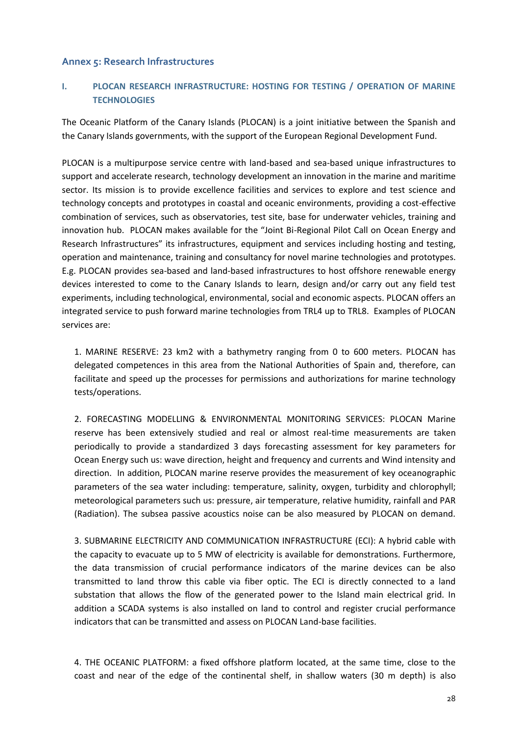### <span id="page-27-0"></span>**Annex 5: Research Infrastructures**

### **I. PLOCAN RESEARCH INFRASTRUCTURE: HOSTING FOR TESTING / OPERATION OF MARINE TECHNOLOGIES**

The Oceanic Platform of the Canary Islands (PLOCAN) is a joint initiative between the Spanish and the Canary Islands governments, with the support of the European Regional Development Fund.

PLOCAN is a multipurpose service centre with land-based and sea-based unique infrastructures to support and accelerate research, technology development an innovation in the marine and maritime sector. Its mission is to provide excellence facilities and services to explore and test science and technology concepts and prototypes in coastal and oceanic environments, providing a cost-effective combination of services, such as observatories, test site, base for underwater vehicles, training and innovation hub. PLOCAN makes available for the "Joint Bi-Regional Pilot Call on Ocean Energy and Research Infrastructures" its infrastructures, equipment and services including hosting and testing, operation and maintenance, training and consultancy for novel marine technologies and prototypes. E.g. PLOCAN provides sea-based and land-based infrastructures to host offshore renewable energy devices interested to come to the Canary Islands to learn, design and/or carry out any field test experiments, including technological, environmental, social and economic aspects. PLOCAN offers an integrated service to push forward marine technologies from TRL4 up to TRL8. Examples of PLOCAN services are:

1. MARINE RESERVE: 23 km2 with a bathymetry ranging from 0 to 600 meters. PLOCAN has delegated competences in this area from the National Authorities of Spain and, therefore, can facilitate and speed up the processes for permissions and authorizations for marine technology tests/operations.

2. FORECASTING MODELLING & ENVIRONMENTAL MONITORING SERVICES: PLOCAN Marine reserve has been extensively studied and real or almost real-time measurements are taken periodically to provide a standardized 3 days forecasting assessment for key parameters for Ocean Energy such us: wave direction, height and frequency and currents and Wind intensity and direction. In addition, PLOCAN marine reserve provides the measurement of key oceanographic parameters of the sea water including: temperature, salinity, oxygen, turbidity and chlorophyll; meteorological parameters such us: pressure, air temperature, relative humidity, rainfall and PAR (Radiation). The subsea passive acoustics noise can be also measured by PLOCAN on demand.

3. SUBMARINE ELECTRICITY AND COMMUNICATION INFRASTRUCTURE (ECI): A hybrid cable with the capacity to evacuate up to 5 MW of electricity is available for demonstrations. Furthermore, the data transmission of crucial performance indicators of the marine devices can be also transmitted to land throw this cable via fiber optic. The ECI is directly connected to a land substation that allows the flow of the generated power to the Island main electrical grid. In addition a SCADA systems is also installed on land to control and register crucial performance indicators that can be transmitted and assess on PLOCAN Land-base facilities.

4. THE OCEANIC PLATFORM: a fixed offshore platform located, at the same time, close to the coast and near of the edge of the continental shelf, in shallow waters (30 m depth) is also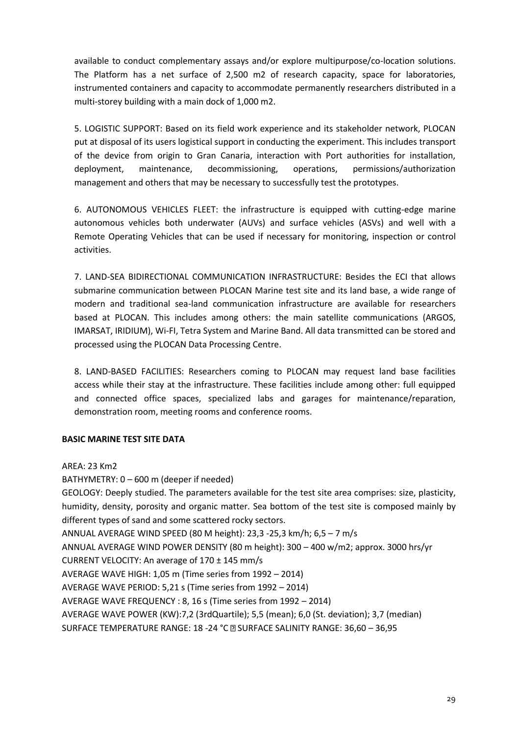available to conduct complementary assays and/or explore multipurpose/co-location solutions. The Platform has a net surface of 2,500 m2 of research capacity, space for laboratories, instrumented containers and capacity to accommodate permanently researchers distributed in a multi-storey building with a main dock of 1,000 m2.

5. LOGISTIC SUPPORT: Based on its field work experience and its stakeholder network, PLOCAN put at disposal of its users logistical support in conducting the experiment. This includes transport of the device from origin to Gran Canaria, interaction with Port authorities for installation, deployment, maintenance, decommissioning, operations, permissions/authorization management and others that may be necessary to successfully test the prototypes.

6. AUTONOMOUS VEHICLES FLEET: the infrastructure is equipped with cutting-edge marine autonomous vehicles both underwater (AUVs) and surface vehicles (ASVs) and well with a Remote Operating Vehicles that can be used if necessary for monitoring, inspection or control activities.

7. LAND-SEA BIDIRECTIONAL COMMUNICATION INFRASTRUCTURE: Besides the ECI that allows submarine communication between PLOCAN Marine test site and its land base, a wide range of modern and traditional sea-land communication infrastructure are available for researchers based at PLOCAN. This includes among others: the main satellite communications (ARGOS, IMARSAT, IRIDIUM), Wi-FI, Tetra System and Marine Band. All data transmitted can be stored and processed using the PLOCAN Data Processing Centre.

8. LAND-BASED FACILITIES: Researchers coming to PLOCAN may request land base facilities access while their stay at the infrastructure. These facilities include among other: full equipped and connected office spaces, specialized labs and garages for maintenance/reparation, demonstration room, meeting rooms and conference rooms.

### **BASIC MARINE TEST SITE DATA**

AREA: 23 Km2 BATHYMETRY: 0 – 600 m (deeper if needed) GEOLOGY: Deeply studied. The parameters available for the test site area comprises: size, plasticity, humidity, density, porosity and organic matter. Sea bottom of the test site is composed mainly by different types of sand and some scattered rocky sectors. ANNUAL AVERAGE WIND SPEED (80 M height): 23,3 -25,3 km/h; 6,5 – 7 m/s ANNUAL AVERAGE WIND POWER DENSITY (80 m height): 300 – 400 w/m2; approx. 3000 hrs/yr CURRENT VELOCITY: An average of 170 ± 145 mm/s AVERAGE WAVE HIGH: 1,05 m (Time series from 1992 – 2014) AVERAGE WAVE PERIOD: 5,21 s (Time series from 1992 – 2014) AVERAGE WAVE FREQUENCY : 8, 16 s (Time series from 1992 – 2014) AVERAGE WAVE POWER (KW):7,2 (3rdQuartile); 5,5 (mean); 6,0 (St. deviation); 3,7 (median) SURFACE TEMPERATURE RANGE: 18 -24 °C <a> <a></a> SURFACE SALINITY RANGE: 36,60 - 36,95</a>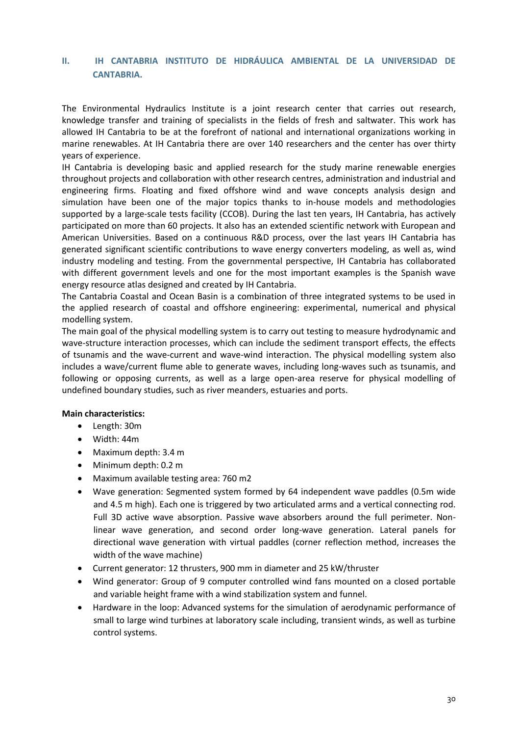#### **II. IH CANTABRIA INSTITUTO DE HIDRÁULICA AMBIENTAL DE LA UNIVERSIDAD DE CANTABRIA.**

The Environmental Hydraulics Institute is a joint research center that carries out research, knowledge transfer and training of specialists in the fields of fresh and saltwater. This work has allowed IH Cantabria to be at the forefront of national and international organizations working in marine renewables. At IH Cantabria there are over 140 researchers and the center has over thirty years of experience.

IH Cantabria is developing basic and applied research for the study marine renewable energies throughout projects and collaboration with other research centres, administration and industrial and engineering firms. Floating and fixed offshore wind and wave concepts analysis design and simulation have been one of the major topics thanks to in-house models and methodologies supported by a large-scale tests facility (CCOB). During the last ten years, IH Cantabria, has actively participated on more than 60 projects. It also has an extended scientific network with European and American Universities. Based on a continuous R&D process, over the last years IH Cantabria has generated significant scientific contributions to wave energy converters modeling, as well as, wind industry modeling and testing. From the governmental perspective, IH Cantabria has collaborated with different government levels and one for the most important examples is the Spanish wave energy resource atlas designed and created by IH Cantabria.

The Cantabria Coastal and Ocean Basin is a combination of three integrated systems to be used in the applied research of coastal and offshore engineering: experimental, numerical and physical modelling system.

The main goal of the physical modelling system is to carry out testing to measure hydrodynamic and wave-structure interaction processes, which can include the sediment transport effects, the effects of tsunamis and the wave-current and wave-wind interaction. The physical modelling system also includes a wave/current flume able to generate waves, including long-waves such as tsunamis, and following or opposing currents, as well as a large open-area reserve for physical modelling of undefined boundary studies, such as river meanders, estuaries and ports.

#### **Main characteristics:**

- Length: 30m
- Width: 44m
- Maximum depth: 3.4 m
- Minimum depth: 0.2 m
- Maximum available testing area: 760 m2
- Wave generation: Segmented system formed by 64 independent wave paddles (0.5m wide and 4.5 m high). Each one is triggered by two articulated arms and a vertical connecting rod. Full 3D active wave absorption. Passive wave absorbers around the full perimeter. Nonlinear wave generation, and second order long-wave generation. Lateral panels for directional wave generation with virtual paddles (corner reflection method, increases the width of the wave machine)
- Current generator: 12 thrusters, 900 mm in diameter and 25 kW/thruster
- Wind generator: Group of 9 computer controlled wind fans mounted on a closed portable and variable height frame with a wind stabilization system and funnel.
- Hardware in the loop: Advanced systems for the simulation of aerodynamic performance of small to large wind turbines at laboratory scale including, transient winds, as well as turbine control systems.